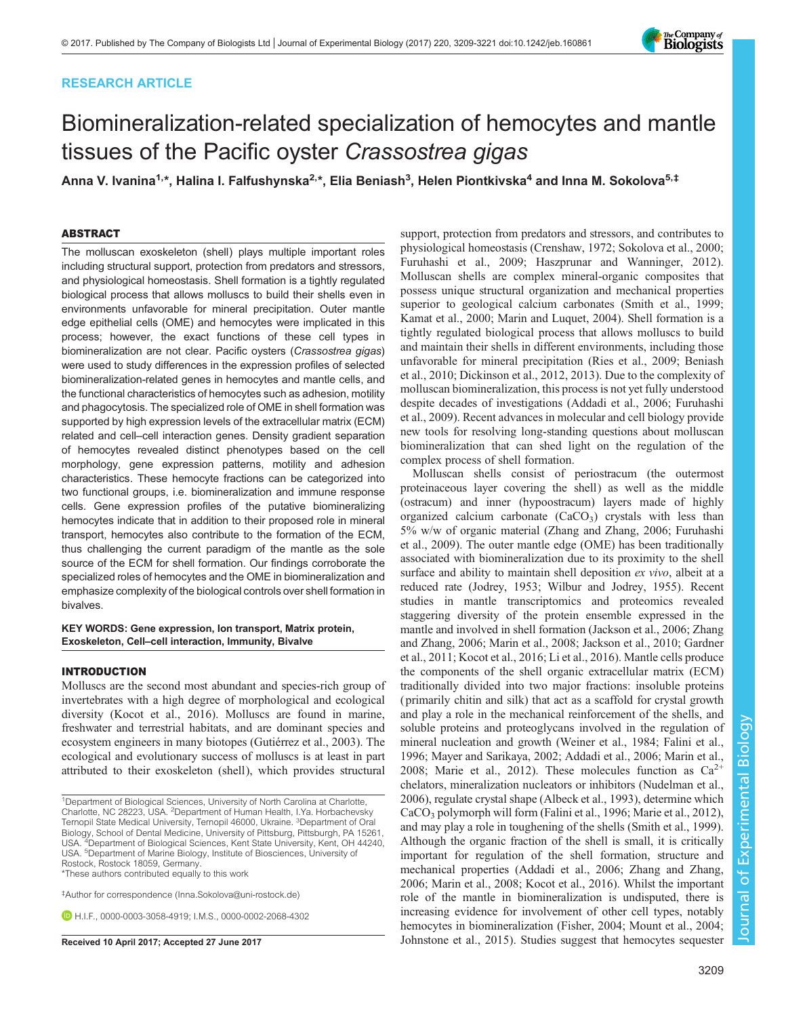# RESEARCH ARTICLE

# Biomineralization-related specialization of hemocytes and mantle tissues of the Pacific oyster Crassostrea gigas

Anna V. Ivanina<sup>1,</sup>\*, Halina I. Falfushynska<sup>2,</sup>\*, Elia Beniash<sup>3</sup>, Helen Piontkivska<sup>4</sup> and Inna M. Sokolova<sup>5,‡</sup>

# ABSTRACT

The molluscan exoskeleton (shell) plays multiple important roles including structural support, protection from predators and stressors, and physiological homeostasis. Shell formation is a tightly regulated biological process that allows molluscs to build their shells even in environments unfavorable for mineral precipitation. Outer mantle edge epithelial cells (OME) and hemocytes were implicated in this process; however, the exact functions of these cell types in biomineralization are not clear. Pacific oysters (Crassostrea gigas) were used to study differences in the expression profiles of selected biomineralization-related genes in hemocytes and mantle cells, and the functional characteristics of hemocytes such as adhesion, motility and phagocytosis. The specialized role of OME in shell formation was supported by high expression levels of the extracellular matrix (ECM) related and cell–cell interaction genes. Density gradient separation of hemocytes revealed distinct phenotypes based on the cell morphology, gene expression patterns, motility and adhesion characteristics. These hemocyte fractions can be categorized into two functional groups, i.e. biomineralization and immune response cells. Gene expression profiles of the putative biomineralizing hemocytes indicate that in addition to their proposed role in mineral transport, hemocytes also contribute to the formation of the ECM, thus challenging the current paradigm of the mantle as the sole source of the ECM for shell formation. Our findings corroborate the specialized roles of hemocytes and the OME in biomineralization and emphasize complexity of the biological controls over shell formation in bivalves.

# KEY WORDS: Gene expression, Ion transport, Matrix protein, Exoskeleton, Cell–cell interaction, Immunity, Bivalve

# INTRODUCTION

Molluscs are the second most abundant and species-rich group of invertebrates with a high degree of morphological and ecological diversity ([Kocot et al., 2016\)](#page-11-0). Molluscs are found in marine, freshwater and terrestrial habitats, and are dominant species and ecosystem engineers in many biotopes ([Gutiérrez et al., 2003\)](#page-11-0). The ecological and evolutionary success of molluscs is at least in part attributed to their exoskeleton (shell), which provides structural

\*These authors contributed equally to this work

‡ Author for correspondence ([Inna.Sokolova@uni-rostock.de\)](mailto:Inna.Sokolova@uni-rostock.de)

 $\bullet$  H.I.F., [0000-0003-3058-4919;](http://orcid.org/0000-0003-3058-4919) I.M.S., [0000-0002-2068-4302](http://orcid.org/0000-0002-2068-4302)

support, protection from predators and stressors, and contributes to physiological homeostasis [\(Crenshaw, 1972](#page-10-0); [Sokolova et al., 2000](#page-11-0); [Furuhashi et al., 2009;](#page-10-0) [Haszprunar and Wanninger, 2012\)](#page-11-0). Molluscan shells are complex mineral-organic composites that possess unique structural organization and mechanical properties superior to geological calcium carbonates ([Smith et al., 1999](#page-11-0); [Kamat et al., 2000](#page-11-0); [Marin and Luquet, 2004\)](#page-11-0). Shell formation is a tightly regulated biological process that allows molluscs to build and maintain their shells in different environments, including those unfavorable for mineral precipitation [\(Ries et al., 2009](#page-11-0); [Beniash](#page-10-0) [et al., 2010](#page-10-0); [Dickinson et al., 2012](#page-10-0), [2013\)](#page-10-0). Due to the complexity of molluscan biomineralization, this process is not yet fully understood despite decades of investigations ([Addadi et al., 2006](#page-10-0); [Furuhashi](#page-10-0) [et al., 2009](#page-10-0)). Recent advances in molecular and cell biology provide new tools for resolving long-standing questions about molluscan biomineralization that can shed light on the regulation of the complex process of shell formation.

Molluscan shells consist of periostracum (the outermost proteinaceous layer covering the shell) as well as the middle (ostracum) and inner (hypoostracum) layers made of highly organized calcium carbonate  $(CaCO<sub>3</sub>)$  crystals with less than 5% w/w of organic material [\(Zhang and Zhang, 2006;](#page-12-0) [Furuhashi](#page-10-0) [et al., 2009\)](#page-10-0). The outer mantle edge (OME) has been traditionally associated with biomineralization due to its proximity to the shell surface and ability to maintain shell deposition ex vivo, albeit at a reduced rate [\(Jodrey, 1953](#page-11-0); [Wilbur and Jodrey, 1955\)](#page-12-0). Recent studies in mantle transcriptomics and proteomics revealed staggering diversity of the protein ensemble expressed in the mantle and involved in shell formation ([Jackson et al., 2006](#page-11-0); [Zhang](#page-12-0) [and Zhang, 2006](#page-12-0); [Marin et al., 2008; Jackson et al., 2010](#page-11-0); [Gardner](#page-11-0) [et al., 2011; Kocot et al., 2016](#page-11-0); [Li et al., 2016\)](#page-11-0). Mantle cells produce the components of the shell organic extracellular matrix (ECM) traditionally divided into two major fractions: insoluble proteins ( primarily chitin and silk) that act as a scaffold for crystal growth and play a role in the mechanical reinforcement of the shells, and soluble proteins and proteoglycans involved in the regulation of mineral nucleation and growth [\(Weiner et al., 1984](#page-12-0); [Falini et al.,](#page-10-0) [1996;](#page-10-0) [Mayer and Sarikaya, 2002](#page-11-0); [Addadi et al., 2006;](#page-10-0) [Marin et al.,](#page-11-0) [2008; Marie et al., 2012](#page-11-0)). These molecules function as  $Ca^{2+}$ chelators, mineralization nucleators or inhibitors ([Nudelman et al.,](#page-11-0) [2006\)](#page-11-0), regulate crystal shape ([Albeck et al., 1993\)](#page-10-0), determine which CaCO<sub>3</sub> polymorph will form [\(Falini et al., 1996;](#page-10-0) [Marie et al., 2012\)](#page-11-0), and may play a role in toughening of the shells [\(Smith et al., 1999\)](#page-11-0). Although the organic fraction of the shell is small, it is critically important for regulation of the shell formation, structure and mechanical properties [\(Addadi et al., 2006](#page-10-0); [Zhang and Zhang,](#page-12-0) [2006;](#page-12-0) [Marin et al., 2008](#page-11-0); [Kocot et al., 2016\)](#page-11-0). Whilst the important role of the mantle in biomineralization is undisputed, there is increasing evidence for involvement of other cell types, notably hemocytes in biomineralization [\(Fisher, 2004;](#page-10-0) [Mount et al., 2004](#page-11-0); Received 10 April 2017; Accepted 27 June 2017 [Johnstone et al., 2015\)](#page-11-0). Studies suggest that hemocytes sequester



<sup>&</sup>lt;sup>1</sup>Department of Biological Sciences, University of North Carolina at Charlotte, Charlotte, NC 28223, USA. 2Department of Human Health, I.Ya. Horbachevsky Ternopil State Medical University, Ternopil 46000, Ukraine. 3Department of Oral Biology, School of Dental Medicine, University of Pittsburg, Pittsburgh, PA 15261,  $USA.$ <sup>4</sup> <sup>4</sup>Department of Biological Sciences, Kent State University, Kent, OH 44240, USA. <sup>5</sup>Department of Marine Biology, Institute of Biosciences, University of Rostock, Rostock 18059, Germany.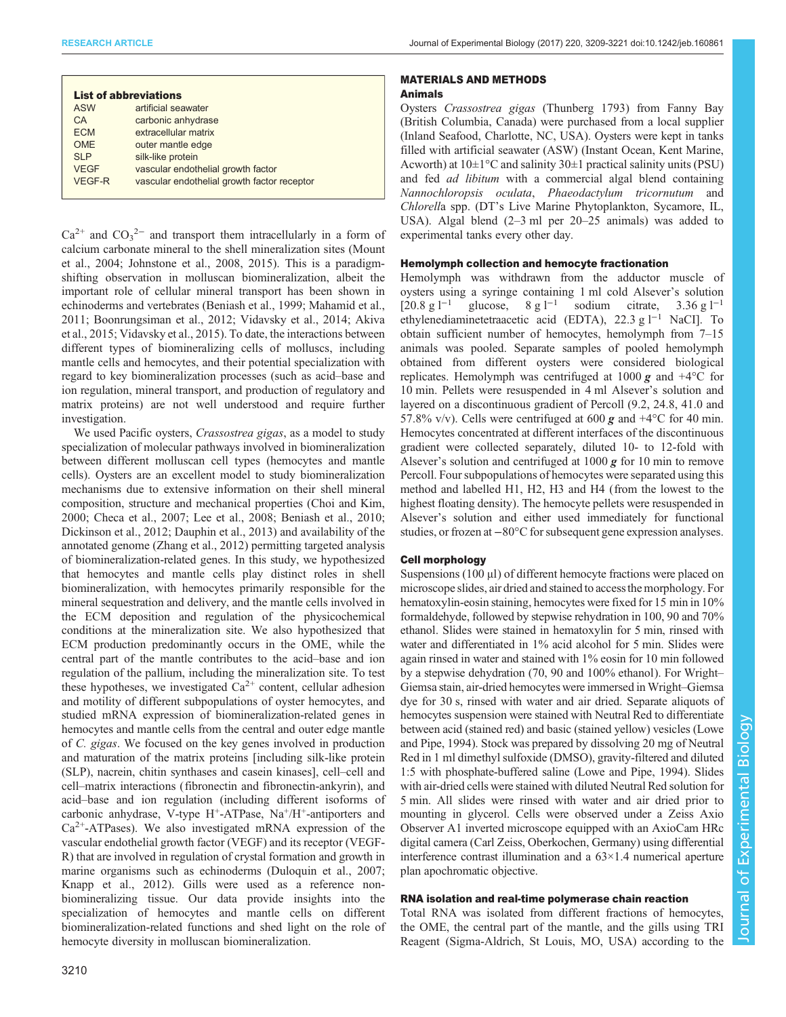| <b>List of abbreviations</b> |                                             |  |  |  |
|------------------------------|---------------------------------------------|--|--|--|
| <b>ASW</b>                   | artificial seawater                         |  |  |  |
| CA                           | carbonic anhydrase                          |  |  |  |
| <b>ECM</b>                   | extracellular matrix                        |  |  |  |
| <b>OME</b>                   | outer mantle edge                           |  |  |  |
| SI <sub>P</sub>              | silk-like protein                           |  |  |  |
| <b>VEGF</b>                  | vascular endothelial growth factor          |  |  |  |
| VFGF-R                       | vascular endothelial growth factor receptor |  |  |  |

 $Ca^{2+}$  and  $CO_3^{2-}$  and transport them intracellularly in a form of calcium carbonate mineral to the shell mineralization sites ([Mount](#page-11-0) [et al., 2004](#page-11-0); [Johnstone et al., 2008](#page-11-0), [2015\)](#page-11-0). This is a paradigmshifting observation in molluscan biomineralization, albeit the important role of cellular mineral transport has been shown in echinoderms and vertebrates ([Beniash et al., 1999;](#page-10-0) [Mahamid et al.,](#page-11-0) [2011](#page-11-0); [Boonrungsiman et al., 2012](#page-10-0); [Vidavsky et al., 2014;](#page-11-0) [Akiva](#page-10-0) [et al., 2015;](#page-10-0) [Vidavsky et al., 2015](#page-11-0)). To date, the interactions between different types of biomineralizing cells of molluscs, including mantle cells and hemocytes, and their potential specialization with regard to key biomineralization processes (such as acid–base and ion regulation, mineral transport, and production of regulatory and matrix proteins) are not well understood and require further investigation.

We used Pacific oysters, *Crassostrea gigas*, as a model to study specialization of molecular pathways involved in biomineralization between different molluscan cell types (hemocytes and mantle cells). Oysters are an excellent model to study biomineralization mechanisms due to extensive information on their shell mineral composition, structure and mechanical properties [\(Choi and Kim,](#page-10-0) [2000](#page-10-0); [Checa et al., 2007;](#page-10-0) [Lee et al., 2008;](#page-11-0) [Beniash et al., 2010](#page-10-0); [Dickinson et al., 2012](#page-10-0); [Dauphin et al., 2013\)](#page-10-0) and availability of the annotated genome [\(Zhang et al., 2012](#page-12-0)) permitting targeted analysis of biomineralization-related genes. In this study, we hypothesized that hemocytes and mantle cells play distinct roles in shell biomineralization, with hemocytes primarily responsible for the mineral sequestration and delivery, and the mantle cells involved in the ECM deposition and regulation of the physicochemical conditions at the mineralization site. We also hypothesized that ECM production predominantly occurs in the OME, while the central part of the mantle contributes to the acid–base and ion regulation of the pallium, including the mineralization site. To test these hypotheses, we investigated  $Ca^{2+}$  content, cellular adhesion and motility of different subpopulations of oyster hemocytes, and studied mRNA expression of biomineralization-related genes in hemocytes and mantle cells from the central and outer edge mantle of C. gigas. We focused on the key genes involved in production and maturation of the matrix proteins [including silk-like protein (SLP), nacrein, chitin synthases and casein kinases], cell–cell and cell–matrix interactions (fibronectin and fibronectin-ankyrin), and acid–base and ion regulation (including different isoforms of carbonic anhydrase, V-type H<sup>+</sup>-ATPase, Na<sup>+</sup>/H<sup>+</sup>-antiporters and  $Ca<sup>2+</sup>-ATPases$ ). We also investigated mRNA expression of the vascular endothelial growth factor (VEGF) and its receptor (VEGF-R) that are involved in regulation of crystal formation and growth in marine organisms such as echinoderms [\(Duloquin et al., 2007](#page-10-0); [Knapp et al., 2012\)](#page-11-0). Gills were used as a reference nonbiomineralizing tissue. Our data provide insights into the specialization of hemocytes and mantle cells on different biomineralization-related functions and shed light on the role of hemocyte diversity in molluscan biomineralization.

# MATERIALS AND METHODS

# Animals

Oysters Crassostrea gigas (Thunberg 1793) from Fanny Bay (British Columbia, Canada) were purchased from a local supplier (Inland Seafood, Charlotte, NC, USA). Oysters were kept in tanks filled with artificial seawater (ASW) (Instant Ocean, Kent Marine, Acworth) at  $10\pm1\degree C$  and salinity  $30\pm1$  practical salinity units (PSU) and fed ad libitum with a commercial algal blend containing Nannochloropsis oculata, Phaeodactylum tricornutum and Chlorella spp. (DT's Live Marine Phytoplankton, Sycamore, IL, USA). Algal blend (2–3 ml per 20–25 animals) was added to experimental tanks every other day.

# Hemolymph collection and hemocyte fractionation

Hemolymph was withdrawn from the adductor muscle of oysters using a syringe containing 1 ml cold Alsever's solution  $[20.8 \text{ g } 1^{-1}$  glucose,  $8 \text{ g } 1^{-1}$  sodium citrate, 3.36 g l<sup>-1</sup> ethylenediaminetetraacetic acid (EDTA), 22.3 g l−<sup>1</sup> NaCI]. To obtain sufficient number of hemocytes, hemolymph from 7–15 animals was pooled. Separate samples of pooled hemolymph obtained from different oysters were considered biological replicates. Hemolymph was centrifuged at 1000 g and  $+4^{\circ}$ C for 10 min. Pellets were resuspended in 4 ml Alsever's solution and layered on a discontinuous gradient of Percoll (9.2, 24.8, 41.0 and 57.8% v/v). Cells were centrifuged at 600  $g$  and +4°C for 40 min. Hemocytes concentrated at different interfaces of the discontinuous gradient were collected separately, diluted 10- to 12-fold with Alsever's solution and centrifuged at  $1000 \times$  for 10 min to remove Percoll. Four subpopulations of hemocytes were separated using this method and labelled H1, H2, H3 and H4 (from the lowest to the highest floating density). The hemocyte pellets were resuspended in Alsever's solution and either used immediately for functional studies, or frozen at −80°C for subsequent gene expression analyses.

# Cell morphology

Suspensions (100 μl) of different hemocyte fractions were placed on microscope slides, air dried and stained to accessthe morphology. For hematoxylin-eosin staining, hemocytes were fixed for 15 min in 10% formaldehyde, followed by stepwise rehydration in 100, 90 and 70% ethanol. Slides were stained in hematoxylin for 5 min, rinsed with water and differentiated in 1% acid alcohol for 5 min. Slides were again rinsed in water and stained with 1% eosin for 10 min followed by a stepwise dehydration (70, 90 and 100% ethanol). For Wright– Giemsa stain, air-dried hemocytes were immersed in Wright–Giemsa dye for 30 s, rinsed with water and air dried. Separate aliquots of hemocytes suspension were stained with Neutral Red to differentiate between acid (stained red) and basic (stained yellow) vesicles [\(Lowe](#page-11-0) [and Pipe, 1994](#page-11-0)). Stock was prepared by dissolving 20 mg of Neutral Red in 1 ml dimethyl sulfoxide (DMSO), gravity-filtered and diluted 1:5 with phosphate-buffered saline [\(Lowe and Pipe, 1994\)](#page-11-0). Slides with air-dried cells were stained with diluted Neutral Red solution for 5 min. All slides were rinsed with water and air dried prior to mounting in glycerol. Cells were observed under a Zeiss Axio Observer A1 inverted microscope equipped with an AxioCam HRc digital camera (Carl Zeiss, Oberkochen, Germany) using differential interference contrast illumination and a  $63\times1.4$  numerical aperture plan apochromatic objective.

# RNA isolation and real-time polymerase chain reaction

Total RNA was isolated from different fractions of hemocytes, the OME, the central part of the mantle, and the gills using TRI Reagent (Sigma-Aldrich, St Louis, MO, USA) according to the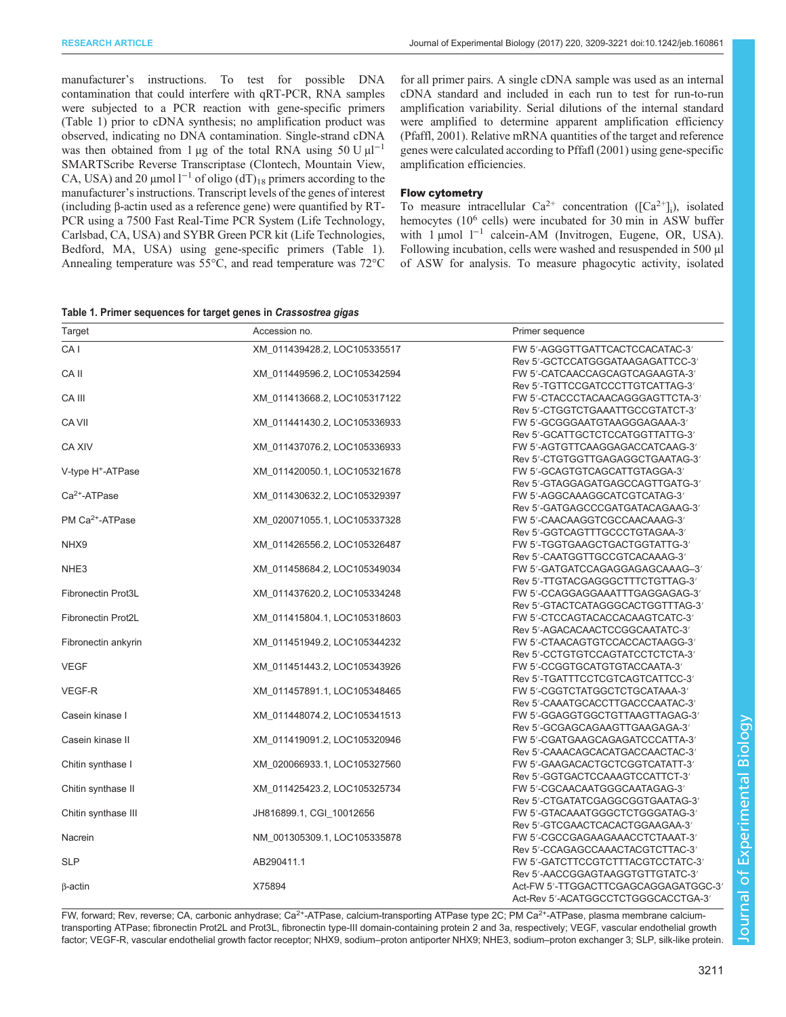manufacturer's instructions. To test for possible DNA contamination that could interfere with qRT-PCR, RNA samples were subjected to a PCR reaction with gene-specific primers (Table 1) prior to cDNA synthesis; no amplification product was observed, indicating no DNA contamination. Single-strand cDNA was then obtained from 1 µg of the total RNA using 50 U  $\mu$ l<sup>-1</sup> SMARTScribe Reverse Transcriptase (Clontech, Mountain View, CA, USA) and 20 µmol  $l^{-1}$  of oligo (dT)<sub>18</sub> primers according to the manufacturer's instructions. Transcript levels of the genes of interest (including β-actin used as a reference gene) were quantified by RT-PCR using a 7500 Fast Real-Time PCR System (Life Technology, Carlsbad, CA, USA) and SYBR Green PCR kit (Life Technologies, Bedford, MA, USA) using gene-specific primers (Table 1). Annealing temperature was 55°C, and read temperature was 72°C

for all primer pairs. A single cDNA sample was used as an internal cDNA standard and included in each run to test for run-to-run amplification variability. Serial dilutions of the internal standard were amplified to determine apparent amplification efficiency [\(Pfaffl, 2001](#page-11-0)). Relative mRNA quantities of the target and reference genes were calculated according to Pffafl (2001) using gene-specific amplification efficiencies.

# Flow cytometry

To measure intracellular  $Ca^{2+}$  concentration ( $[Ca^{2+}]_i$ ), isolated hemocytes (10<sup>6</sup> cells) were incubated for 30 min in ASW buffer with 1 µmol 1<sup>-1</sup> calcein-AM (Invitrogen, Eugene, OR, USA). Following incubation, cells were washed and resuspended in 500 µl of ASW for analysis. To measure phagocytic activity, isolated

|  |  |  |  | Table 1. Primer sequences for target genes in Crassostrea gigas |  |
|--|--|--|--|-----------------------------------------------------------------|--|
|  |  |  |  |                                                                 |  |

| Target                        | Accession no.                | Primer sequence                      |
|-------------------------------|------------------------------|--------------------------------------|
| CA <sub>1</sub>               | XM 011439428.2, LOC105335517 | FW 5'-AGGGTTGATTCACTCCACATAC-3'      |
|                               |                              | Rev 5'-GCTCCATGGGATAAGAGATTCC-3'     |
| CA II                         | XM 011449596.2, LOC105342594 | FW 5'-CATCAACCAGCAGTCAGAAGTA-3'      |
|                               |                              | Rev 5'-TGTTCCGATCCCTTGTCATTAG-3'     |
| CA III                        | XM_011413668.2, LOC105317122 | FW 5'-CTACCCTACAACAGGGAGTTCTA-3'     |
|                               |                              | Rev 5'-CTGGTCTGAAATTGCCGTATCT-3'     |
| CA VII                        | XM 011441430.2, LOC105336933 | FW 5'-GCGGGAATGTAAGGGAGAAA-3'        |
|                               |                              | Rev 5'-GCATTGCTCTCCATGGTTATTG-3'     |
| CA XIV                        | XM 011437076.2, LOC105336933 | FW 5'-AGTGTTCAAGGAGACCATCAAG-3'      |
|                               |                              | Rev 5'-CTGTGGTTGAGAGGCTGAATAG-3'     |
| V-type H <sup>+</sup> -ATPase | XM_011420050.1, LOC105321678 | FW 5'-GCAGTGTCAGCATTGTAGGA-3'        |
|                               |                              | Rev 5'-GTAGGAGATGAGCCAGTTGATG-3'     |
| Ca <sup>2+</sup> -ATPase      | XM 011430632.2, LOC105329397 | FW 5'-AGGCAAAGGCATCGTCATAG-3'        |
|                               |                              | Rev 5'-GATGAGCCCGATGATACAGAAG-3'     |
| PM Ca <sup>2+</sup> -ATPase   | XM_020071055.1, LOC105337328 | FW 5'-CAACAAGGTCGCCAACAAAG-3'        |
|                               |                              | Rev 5'-GGTCAGTTTGCCCTGTAGAA-3'       |
| NHX9                          | XM_011426556.2, LOC105326487 | FW 5'-TGGTGAAGCTGACTGGTATTG-3'       |
|                               |                              | Rev 5'-CAATGGTTGCCGTCACAAAG-3'       |
| NHE <sub>3</sub>              | XM 011458684.2, LOC105349034 | FW 5'-GATGATCCAGAGGAGAGCAAAG-3'      |
|                               |                              | Rev 5'-TTGTACGAGGGCTTTCTGTTAG-3'     |
| Fibronectin Prot3L            | XM_011437620.2, LOC105334248 | FW 5'-CCAGGAGGAAATTTGAGGAGAG-3'      |
|                               |                              | Rev 5'-GTACTCATAGGGCACTGGTTTAG-3'    |
| Fibronectin Prot2L            | XM_011415804.1, LOC105318603 | FW 5'-CTCCAGTACACCACAAGTCATC-3'      |
|                               |                              | Rev 5'-AGACACAACTCCGGCAATATC-3'      |
| Fibronectin ankyrin           | XM 011451949.2, LOC105344232 | FW 5'-CTAACAGTGTCCACCACTAAGG-3'      |
|                               |                              | Rev 5'-CCTGTGTCCAGTATCCTCTCTA-3'     |
| <b>VEGF</b>                   | XM 011451443.2, LOC105343926 | FW 5'-CCGGTGCATGTGTACCAATA-3'        |
|                               |                              | Rev 5'-TGATTTCCTCGTCAGTCATTCC-3'     |
| VEGF-R                        | XM_011457891.1, LOC105348465 | FW 5'-CGGTCTATGGCTCTGCATAAA-3'       |
|                               |                              | Rev 5'-CAAATGCACCTTGACCCAATAC-3'     |
| Casein kinase I               | XM 011448074.2, LOC105341513 | FW 5'-GGAGGTGGCTGTTAAGTTAGAG-3'      |
|                               |                              | Rev 5'-GCGAGCAGAAGTTGAAGAGA-3'       |
| Casein kinase II              | XM_011419091.2, LOC105320946 | FW 5'-CGATGAAGCAGAGATCCCATTA-3'      |
|                               |                              | Rev 5'-CAAACAGCACATGACCAACTAC-3'     |
| Chitin synthase I             | XM_020066933.1, LOC105327560 | FW 5'-GAAGACACTGCTCGGTCATATT-3'      |
|                               |                              | Rev 5'-GGTGACTCCAAAGTCCATTCT-3'      |
| Chitin synthase II            | XM 011425423.2, LOC105325734 | FW 5'-CGCAACAATGGGCAATAGAG-3'        |
|                               |                              | Rev 5'-CTGATATCGAGGCGGTGAATAG-3'     |
| Chitin synthase III           | JH816899.1, CGI_10012656     | FW 5'-GTACAAATGGGCTCTGGGATAG-3'      |
|                               |                              | Rev 5'-GTCGAACTCACACTGGAAGAA-3'      |
| Nacrein                       |                              | FW 5'-CGCCGAGAAGAAACCTCTAAAT-3'      |
|                               | NM_001305309.1, LOC105335878 |                                      |
|                               |                              | Rev 5'-CCAGAGCCAAACTACGTCTTAC-3'     |
| <b>SLP</b>                    | AB290411.1                   | FW 5'-GATCTTCCGTCTTTACGTCCTATC-3'    |
|                               |                              | Rev 5'-AACCGGAGTAAGGTGTTGTATC-3'     |
| $\beta$ -actin                | X75894                       | Act-FW 5'-TTGGACTTCGAGCAGGAGATGGC-3' |
|                               |                              | Act-Rev 5'-ACATGGCCTCTGGGCACCTGA-3'  |

FW, forward; Rev, reverse; CA, carbonic anhydrase; Ca<sup>2+</sup>-ATPase, calcium-transporting ATPase type 2C; PM Ca<sup>2+</sup>-ATPase, plasma membrane calciumtransporting ATPase; fibronectin Prot2L and Prot3L, fibronectin type-III domain-containing protein 2 and 3a, respectively; VEGF, vascular endothelial growth factor; VEGF-R, vascular endothelial growth factor receptor; NHX9, sodium–proton antiporter NHX9; NHE3, sodium–proton exchanger 3; SLP, silk-like protein.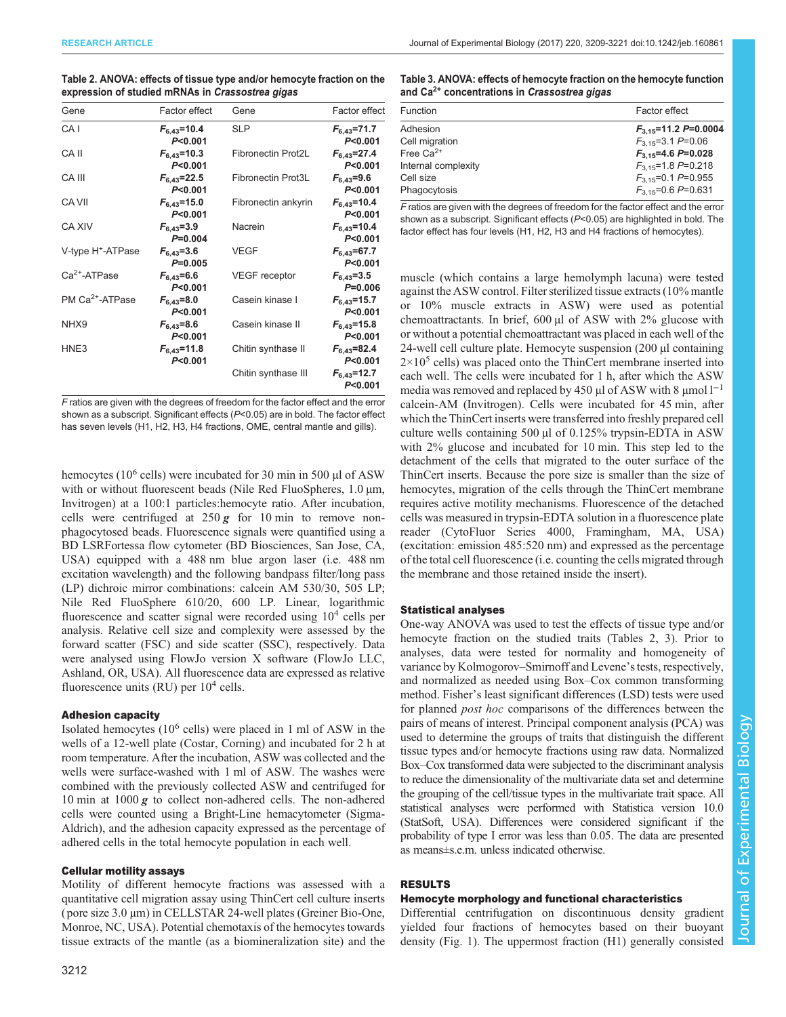<span id="page-3-0"></span>Table 2. ANOVA: effects of tissue type and/or hemocyte fraction on the expression of studied mRNAs in Crassostrea gigas

| Gene                          | Factor effect                           | Gene                 | Factor effect                           |
|-------------------------------|-----------------------------------------|----------------------|-----------------------------------------|
| CA <sub>1</sub>               | $F_{6.43} = 10.4$<br>P < 0.001          | <b>SLP</b>           | $F_{6.43} = 71.7$<br>P <sub>0.001</sub> |
| CA II                         | $F_{6,43} = 10.3$<br>P <sub>0.001</sub> | Fibronectin Prot2L   | $F_{6.43} = 27.4$<br>P<0.001            |
| CA III                        | $F_{6,43} = 22.5$<br>P < 0.001          | Fibronectin Prot3L   | $F_{6,43} = 9.6$<br>P <sub>0.001</sub>  |
| CA VII                        | $F_{6.43} = 15.0$<br>P < 0.001          | Fibronectin ankyrin  | $F_{6,43} = 10.4$<br>P <sub>0.001</sub> |
| CA XIV                        | $F_{6.43} = 3.9$<br>$P = 0.004$         | Nacrein              | $F_{6,43} = 10.4$<br>P <sub>0.001</sub> |
| V-type H <sup>+</sup> -ATPase | $F_{6.43} = 3.6$<br>$P=0.005$           | VEGF                 | $F_{6,43} = 67.7$<br>P <sub>0.001</sub> |
| Ca <sup>2+</sup> -ATPase      | $F_{6.43} = 6.6$<br>P <sub>0.001</sub>  | <b>VEGF</b> receptor | $F_{6.43} = 3.5$<br>$P = 0.006$         |
| PM Ca <sup>2+</sup> -ATPase   | $F_{6.43} = 8.0$<br>P < 0.001           | Casein kinase I      | $F_{6.43} = 15.7$<br>P<0.001            |
| NHX9                          | $F_{6,43} = 8.6$<br>P <sub>0.001</sub>  | Casein kinase II     | $F_{6.43} = 15.8$<br>P <sub>0.001</sub> |
| HNE3                          | $F_{6.43} = 11.8$<br>P <sub>0.001</sub> | Chitin synthase II   | $F_{6,43} = 82.4$<br>P <sub>0.001</sub> |
|                               |                                         | Chitin synthase III  | $F_{6,43} = 12.7$<br>P<0.001            |

shown as a subscript. Significant effects (P<0.05) are in bold. The factor effect has seven levels (H1, H2, H3, H4 fractions, OME, central mantle and gills).

hemocytes ( $10^6$  cells) were incubated for 30 min in 500 µl of ASW with or without fluorescent beads (Nile Red FluoSpheres, 1.0  $\mu$ m, Invitrogen) at a 100:1 particles:hemocyte ratio. After incubation, cells were centrifuged at  $250 g$  for 10 min to remove nonphagocytosed beads. Fluorescence signals were quantified using a BD LSRFortessa flow cytometer (BD Biosciences, San Jose, CA, USA) equipped with a 488 nm blue argon laser (i.e. 488 nm excitation wavelength) and the following bandpass filter/long pass (LP) dichroic mirror combinations: calcein AM 530/30, 505 LP; Nile Red FluoSphere 610/20, 600 LP. Linear, logarithmic fluorescence and scatter signal were recorded using  $10<sup>4</sup>$  cells per analysis. Relative cell size and complexity were assessed by the forward scatter (FSC) and side scatter (SSC), respectively. Data were analysed using FlowJo version X software (FlowJo LLC, Ashland, OR, USA). All fluorescence data are expressed as relative fluorescence units  $(RU)$  per  $10<sup>4</sup>$  cells.

## Adhesion capacity

Isolated hemocytes (10<sup>6</sup> cells) were placed in 1 ml of ASW in the wells of a 12-well plate (Costar, Corning) and incubated for 2 h at room temperature. After the incubation, ASW was collected and the wells were surface-washed with 1 ml of ASW. The washes were combined with the previously collected ASW and centrifuged for 10 min at 1000  $g$  to collect non-adhered cells. The non-adhered cells were counted using a Bright-Line hemacytometer (Sigma-Aldrich), and the adhesion capacity expressed as the percentage of adhered cells in the total hemocyte population in each well.

## Cellular motility assays

Motility of different hemocyte fractions was assessed with a quantitative cell migration assay using ThinCert cell culture inserts ( pore size 3.0 µm) in CELLSTAR 24-well plates (Greiner Bio-One, Monroe, NC, USA). Potential chemotaxis of the hemocytes towards tissue extracts of the mantle (as a biomineralization site) and the

# Table 3. ANOVA: effects of hemocyte fraction on the hemocyte function and Ca<sup>2+</sup> concentrations in Crassostrea gigas

| Function              | Factor effect              |
|-----------------------|----------------------------|
| Adhesion              | $F_{3.15}$ =11.2 P=0.0004  |
| Cell migration        | $F_{3,15} = 3.1 P = 0.06$  |
| Free Ca <sup>2+</sup> | $F_{3.15}$ =4.6 P=0.028    |
| Internal complexity   | $F_{3,15}$ =1.8 P=0.218    |
| Cell size             | $F_{3.15}$ =0.1 P=0.955    |
| Phagocytosis          | $F_{3,15} = 0.6 P = 0.631$ |

F ratios are given with the degrees of freedom for the factor effect and the error shown as a subscript. Significant effects (P<0.05) are highlighted in bold. The factor effect has four levels (H1, H2, H3 and H4 fractions of hemocytes).

muscle (which contains a large hemolymph lacuna) were tested against the ASW control. Filter sterilized tissue extracts (10% mantle or 10% muscle extracts in ASW) were used as potential chemoattractants. In brief, 600 µl of ASW with 2% glucose with or without a potential chemoattractant was placed in each well of the 24-well cell culture plate. Hemocyte suspension (200 µl containing  $2\times10^5$  cells) was placed onto the ThinCert membrane inserted into each well. The cells were incubated for 1 h, after which the ASW media was removed and replaced by 450 μl of ASW with 8  $\mu$ mol l<sup>-1</sup> calcein-AM (Invitrogen). Cells were incubated for 45 min, after which the ThinCert inserts were transferred into freshly prepared cell culture wells containing 500  $\mu$ l of 0.125% trypsin-EDTA in ASW with 2% glucose and incubated for 10 min. This step led to the detachment of the cells that migrated to the outer surface of the ThinCert inserts. Because the pore size is smaller than the size of hemocytes, migration of the cells through the ThinCert membrane requires active motility mechanisms. Fluorescence of the detached cells was measured in trypsin-EDTA solution in a fluorescence plate reader (CytoFluor Series 4000, Framingham, MA, USA) (excitation: emission 485:520 nm) and expressed as the percentage of the total cell fluorescence (i.e. counting the cells migrated through the membrane and those retained inside the insert).

# Statistical analyses

One-way ANOVA was used to test the effects of tissue type and/or hemocyte fraction on the studied traits (Tables 2, 3). Prior to analyses, data were tested for normality and homogeneity of variance by Kolmogorov–Smirnoff and Levene's tests, respectively, and normalized as needed using Box–Cox common transforming method. Fisher's least significant differences (LSD) tests were used for planned *post hoc* comparisons of the differences between the pairs of means of interest. Principal component analysis (PCA) was used to determine the groups of traits that distinguish the different tissue types and/or hemocyte fractions using raw data. Normalized Box–Cox transformed data were subjected to the discriminant analysis to reduce the dimensionality of the multivariate data set and determine the grouping of the cell/tissue types in the multivariate trait space. All statistical analyses were performed with Statistica version 10.0 (StatSoft, USA). Differences were considered significant if the probability of type I error was less than 0.05. The data are presented as means±s.e.m. unless indicated otherwise.

# RESULTS

# Hemocyte morphology and functional characteristics

Differential centrifugation on discontinuous density gradient yielded four fractions of hemocytes based on their buoyant density ([Fig. 1\)](#page-4-0). The uppermost fraction (H1) generally consisted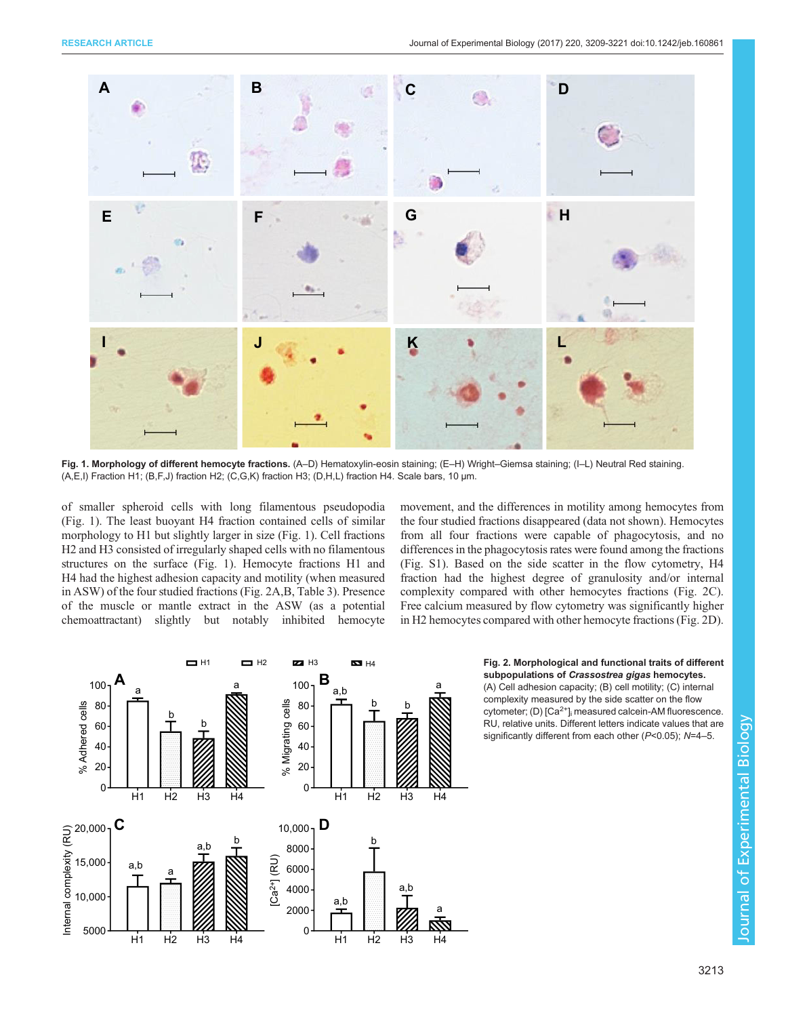<span id="page-4-0"></span>

Fig. 1. Morphology of different hemocyte fractions. (A–D) Hematoxylin-eosin staining; (E–H) Wright–Giemsa staining; (I–L) Neutral Red staining (A,E,I) Fraction H1; (B,F,J) fraction H2; (C,G,K) fraction H3; (D,H,L) fraction H4. Scale bars, 10 µm.

of smaller spheroid cells with long filamentous pseudopodia (Fig. 1). The least buoyant H4 fraction contained cells of similar morphology to H1 but slightly larger in size (Fig. 1). Cell fractions H2 and H3 consisted of irregularly shaped cells with no filamentous structures on the surface (Fig. 1). Hemocyte fractions H1 and H4 had the highest adhesion capacity and motility (when measured in ASW) of the four studied fractions (Fig. 2A,B, [Table 3](#page-3-0)). Presence of the muscle or mantle extract in the ASW (as a potential chemoattractant) slightly but notably inhibited hemocyte

movement, and the differences in motility among hemocytes from the four studied fractions disappeared (data not shown). Hemocytes from all four fractions were capable of phagocytosis, and no differences in the phagocytosis rates were found among the fractions [\(Fig. S1](http://jeb.biologists.org/lookup/doi/10.1242/jeb.160861.supplemental)). Based on the side scatter in the flow cytometry, H4 fraction had the highest degree of granulosity and/or internal complexity compared with other hemocytes fractions (Fig. 2C). Free calcium measured by flow cytometry was significantly higher in H2 hemocytes compared with other hemocyte fractions (Fig. 2D).



### Fig. 2. Morphological and functional traits of different subpopulations of Crassostrea gigas hemocytes.

(A) Cell adhesion capacity; (B) cell motility; (C) internal complexity measured by the side scatter on the flow cytometer; (D)  $[Ca<sup>2+</sup>]$ <sub>i</sub> measured calcein-AM fluorescence. RU, relative units. Different letters indicate values that are significantly different from each other (P<0.05); N=4–5.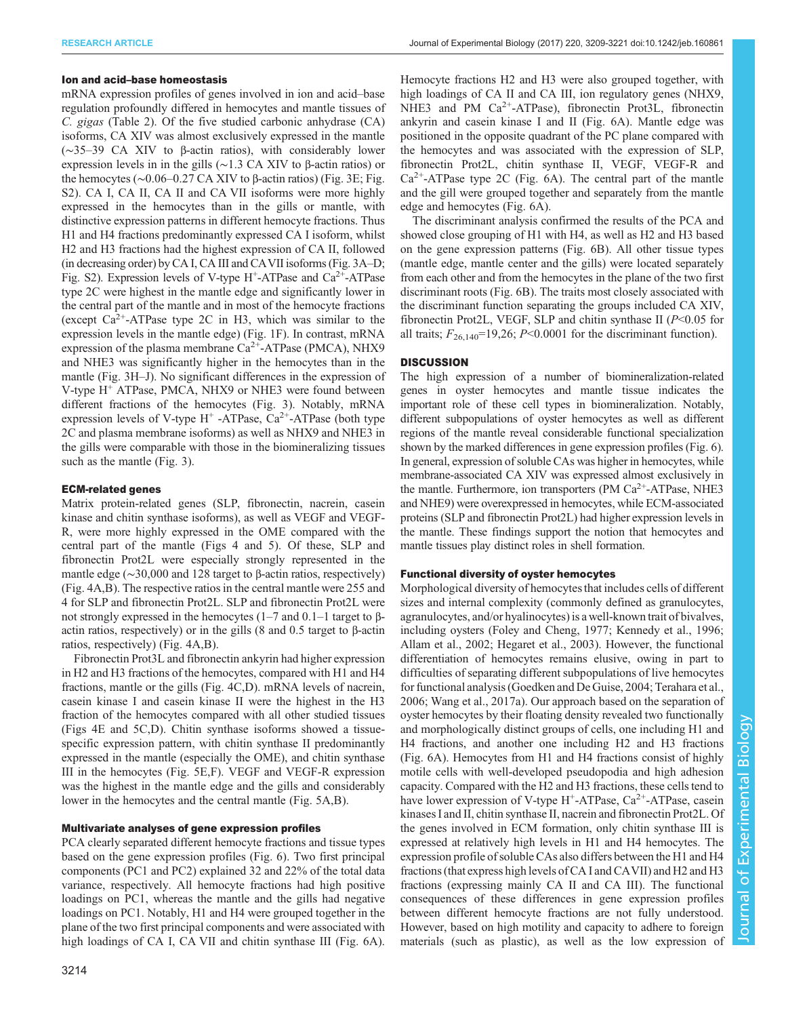## Ion and acid–base homeostasis

mRNA expression profiles of genes involved in ion and acid–base regulation profoundly differed in hemocytes and mantle tissues of C. gigas [\(Table 2\)](#page-3-0). Of the five studied carbonic anhydrase (CA) isoforms, CA XIV was almost exclusively expressed in the mantle (∼35–39 CA XIV to β-actin ratios), with considerably lower expression levels in in the gills (∼1.3 CA XIV to β-actin ratios) or the hemocytes (∼0.06–0.27 CA XIV to β-actin ratios) ([Fig. 3E](#page-6-0); [Fig.](http://jeb.biologists.org/lookup/doi/10.1242/jeb.160861.supplemental) [S2](http://jeb.biologists.org/lookup/doi/10.1242/jeb.160861.supplemental)). CA I, CA II, CA II and CA VII isoforms were more highly expressed in the hemocytes than in the gills or mantle, with distinctive expression patterns in different hemocyte fractions. Thus H1 and H4 fractions predominantly expressed CA I isoform, whilst H2 and H3 fractions had the highest expression of CA II, followed (in decreasing order) by CA I, CA III and CAVII isoforms [\(Fig. 3](#page-6-0)A–D; [Fig. S2](http://jeb.biologists.org/lookup/doi/10.1242/jeb.160861.supplemental)). Expression levels of V-type H<sup>+</sup>-ATPase and Ca<sup>2+</sup>-ATPase type 2C were highest in the mantle edge and significantly lower in the central part of the mantle and in most of the hemocyte fractions (except  $Ca^{2+}$ -ATPase type 2C in H3, which was similar to the expression levels in the mantle edge) ([Fig. 1](#page-4-0)F). In contrast, mRNA expression of the plasma membrane  $Ca^{2+}$ -ATPase (PMCA), NHX9 and NHE3 was significantly higher in the hemocytes than in the mantle [\(Fig. 3H](#page-6-0)–J). No significant differences in the expression of V-type H<sup>+</sup> ATPase, PMCA, NHX9 or NHE3 were found between different fractions of the hemocytes ([Fig. 3\)](#page-6-0). Notably, mRNA expression levels of V-type  $H^+$  -ATPase, Ca<sup>2+</sup>-ATPase (both type 2C and plasma membrane isoforms) as well as NHX9 and NHE3 in the gills were comparable with those in the biomineralizing tissues such as the mantle ([Fig. 3](#page-6-0)).

# ECM-related genes

Matrix protein-related genes (SLP, fibronectin, nacrein, casein kinase and chitin synthase isoforms), as well as VEGF and VEGF-R, were more highly expressed in the OME compared with the central part of the mantle ([Figs 4](#page-7-0) and [5\)](#page-8-0). Of these, SLP and fibronectin Prot2L were especially strongly represented in the mantle edge (∼30,000 and 128 target to β-actin ratios, respectively) [\(Fig. 4A](#page-7-0),B). The respective ratios in the central mantle were 255 and 4 for SLP and fibronectin Prot2L. SLP and fibronectin Prot2L were not strongly expressed in the hemocytes (1–7 and 0.1–1 target to βactin ratios, respectively) or in the gills (8 and 0.5 target to β-actin ratios, respectively) [\(Fig. 4A](#page-7-0),B).

Fibronectin Prot3L and fibronectin ankyrin had higher expression in H2 and H3 fractions of the hemocytes, compared with H1 and H4 fractions, mantle or the gills ([Fig. 4](#page-7-0)C,D). mRNA levels of nacrein, casein kinase I and casein kinase II were the highest in the H3 fraction of the hemocytes compared with all other studied tissues [\(Figs 4](#page-7-0)E and [5C](#page-8-0),D). Chitin synthase isoforms showed a tissuespecific expression pattern, with chitin synthase II predominantly expressed in the mantle (especially the OME), and chitin synthase III in the hemocytes ([Fig. 5E](#page-8-0),F). VEGF and VEGF-R expression was the highest in the mantle edge and the gills and considerably lower in the hemocytes and the central mantle ([Fig. 5A](#page-8-0),B).

# Multivariate analyses of gene expression profiles

PCA clearly separated different hemocyte fractions and tissue types based on the gene expression profiles ([Fig. 6](#page-9-0)). Two first principal components (PC1 and PC2) explained 32 and 22% of the total data variance, respectively. All hemocyte fractions had high positive loadings on PC1, whereas the mantle and the gills had negative loadings on PC1. Notably, H1 and H4 were grouped together in the plane of the two first principal components and were associated with high loadings of CA I, CA VII and chitin synthase III ([Fig. 6A](#page-9-0)).

Hemocyte fractions H2 and H3 were also grouped together, with high loadings of CA II and CA III, ion regulatory genes (NHX9, NHE3 and PM  $Ca^{2+}-ATPase$ , fibronectin Prot3L, fibronectin ankyrin and casein kinase I and II ([Fig. 6A](#page-9-0)). Mantle edge was positioned in the opposite quadrant of the PC plane compared with the hemocytes and was associated with the expression of SLP, fibronectin Prot2L, chitin synthase II, VEGF, VEGF-R and  $Ca<sup>2+</sup>$ -ATPase type 2C ([Fig. 6](#page-9-0)A). The central part of the mantle and the gill were grouped together and separately from the mantle edge and hemocytes ([Fig. 6](#page-9-0)A).

The discriminant analysis confirmed the results of the PCA and showed close grouping of H1 with H4, as well as H2 and H3 based on the gene expression patterns ([Fig. 6B](#page-9-0)). All other tissue types (mantle edge, mantle center and the gills) were located separately from each other and from the hemocytes in the plane of the two first discriminant roots ([Fig. 6B](#page-9-0)). The traits most closely associated with the discriminant function separating the groups included CA XIV, fibronectin Prot2L, VEGF, SLP and chitin synthase II  $(P<0.05$  for all traits;  $F_{26,140}$ =19,26; P<0.0001 for the discriminant function).

## **DISCUSSION**

The high expression of a number of biomineralization-related genes in oyster hemocytes and mantle tissue indicates the important role of these cell types in biomineralization. Notably, different subpopulations of oyster hemocytes as well as different regions of the mantle reveal considerable functional specialization shown by the marked differences in gene expression profiles [\(Fig. 6\)](#page-9-0). In general, expression of soluble CAs was higher in hemocytes, while membrane-associated CA XIV was expressed almost exclusively in the mantle. Furthermore, ion transporters (PM  $Ca^{2+}$ -ATPase, NHE3 and NHE9) were overexpressed in hemocytes, while ECM-associated proteins (SLP and fibronectin Prot2L) had higher expression levels in the mantle. These findings support the notion that hemocytes and mantle tissues play distinct roles in shell formation.

# Functional diversity of oyster hemocytes

Morphological diversity of hemocytes that includes cells of different sizes and internal complexity (commonly defined as granulocytes, agranulocytes, and/or hyalinocytes) is a well-known trait of bivalves, including oysters ([Foley and Cheng, 1977](#page-10-0); [Kennedy et al., 1996](#page-11-0); [Allam et al., 2002;](#page-10-0) [Hegaret et al., 2003](#page-11-0)). However, the functional differentiation of hemocytes remains elusive, owing in part to difficulties of separating different subpopulations of live hemocytes for functional analysis ([Goedken and De Guise, 2004](#page-11-0); [Terahara et al.,](#page-11-0) [2006; Wang et al., 2017a\)](#page-11-0). Our approach based on the separation of oyster hemocytes by their floating density revealed two functionally and morphologically distinct groups of cells, one including H1 and H4 fractions, and another one including H2 and H3 fractions [\(Fig. 6A](#page-9-0)). Hemocytes from H1 and H4 fractions consist of highly motile cells with well-developed pseudopodia and high adhesion capacity. Compared with the H2 and H3 fractions, these cells tend to have lower expression of V-type  $H^+$ -ATPase, Ca<sup>2+</sup>-ATPase, casein kinases I and II, chitin synthase II, nacrein and fibronectin Prot2L. Of the genes involved in ECM formation, only chitin synthase III is expressed at relatively high levels in H1 and H4 hemocytes. The expression profile of soluble CAs also differs between the H1 and H4 fractions (that express high levels of CA I and CAVII) and H2 and H3 fractions (expressing mainly CA II and CA III). The functional consequences of these differences in gene expression profiles between different hemocyte fractions are not fully understood. However, based on high motility and capacity to adhere to foreign materials (such as plastic), as well as the low expression of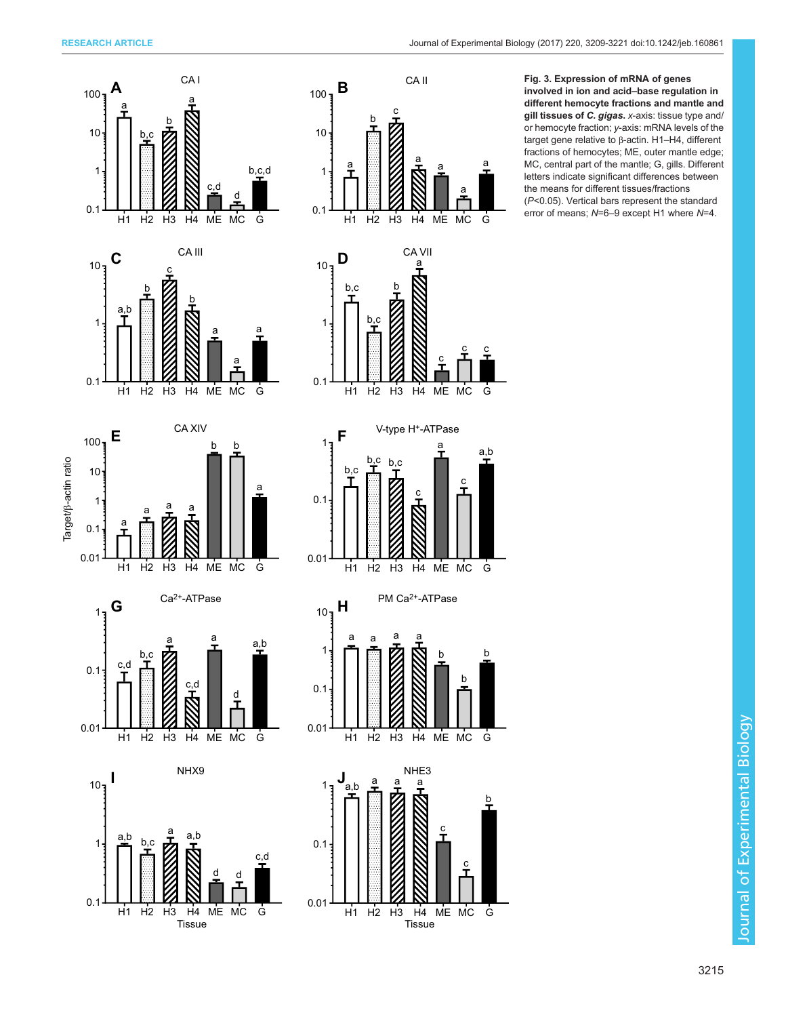

<span id="page-6-0"></span>RESEARCH ARTICLE **ARTICLE** ARTICLE **1999** Journal of Experimental Biology (2017) 220, 3209-3221 doi:10.1242/jeb.160861

Fig. 3. Expression of mRNA of genes involved in ion and acid–base regulation in different hemocyte fractions and mantle and gill tissues of C. gigas. x-axis: tissue type and/ or hemocyte fraction; y-axis: mRNA levels of the target gene relative to β-actin. H1–H4, different fractions of hemocytes; ME, outer mantle edge; MC, central part of the mantle; G, gills. Different letters indicate significant differences between the means for different tissues/fractions (P<0.05). Vertical bars represent the standard error of means; N=6–9 except H1 where N=4.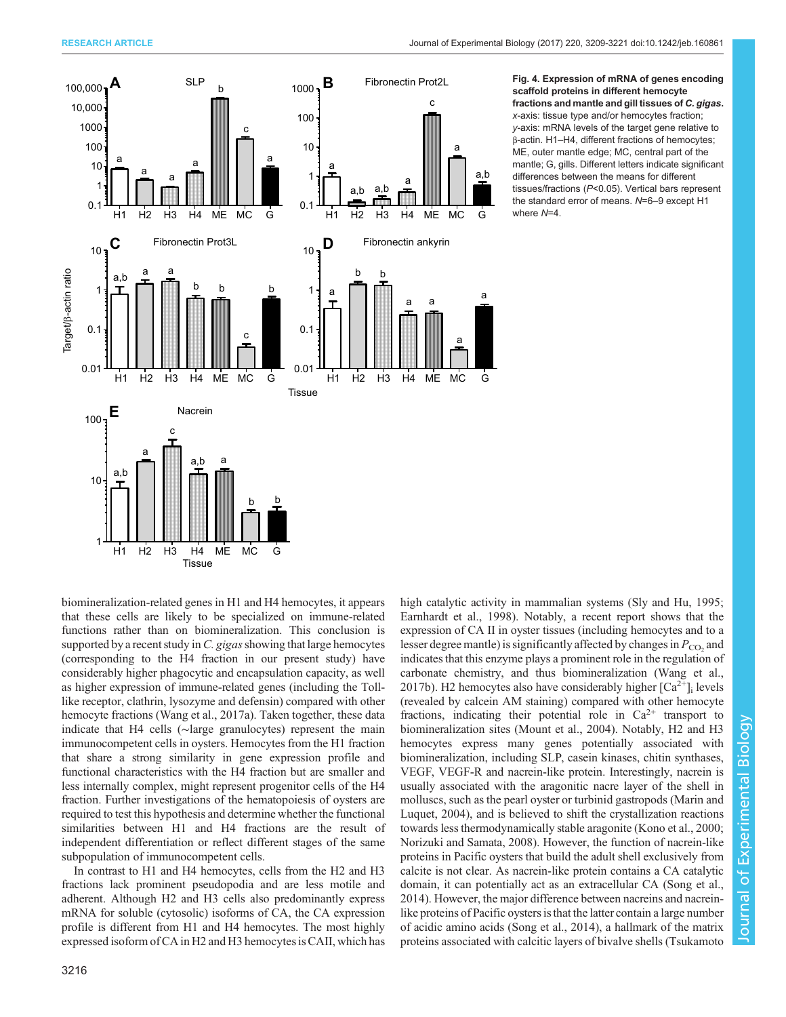high catalytic activity in mammalian systems [\(Sly and Hu, 1995](#page-11-0); [Earnhardt et al., 1998\)](#page-10-0). Notably, a recent report shows that the expression of CA II in oyster tissues (including hemocytes and to a lesser degree mantle) is significantly affected by changes in  $P_{\rm CO}$  and indicates that this enzyme plays a prominent role in the regulation of carbonate chemistry, and thus biomineralization ([Wang et al.,](#page-12-0) [2017b\)](#page-12-0). H2 hemocytes also have considerably higher  $\lceil Ca^{2+} \rceil$  levels (revealed by calcein AM staining) compared with other hemocyte fractions, indicating their potential role in  $Ca^{2+}$  transport to biomineralization sites [\(Mount et al., 2004](#page-11-0)). Notably, H2 and H3 hemocytes express many genes potentially associated with biomineralization, including SLP, casein kinases, chitin synthases, VEGF, VEGF-R and nacrein-like protein. Interestingly, nacrein is usually associated with the aragonitic nacre layer of the shell in molluscs, such as the pearl oyster or turbinid gastropods [\(Marin and](#page-11-0) [Luquet, 2004\)](#page-11-0), and is believed to shift the crystallization reactions towards less thermodynamically stable aragonite [\(Kono et al., 2000](#page-11-0); [Norizuki and Samata, 2008](#page-11-0)). However, the function of nacrein-like proteins in Pacific oysters that build the adult shell exclusively from calcite is not clear. As nacrein-like protein contains a CA catalytic

<span id="page-7-0"></span>

Fig. 4. Expression of mRNA of genes encoding scaffold proteins in different hemocyte fractions and mantle and gill tissues of C. gigas. x-axis: tissue type and/or hemocytes fraction; y-axis: mRNA levels of the target gene relative to β-actin. H1–H4, different fractions of hemocytes; ME, outer mantle edge; MC, central part of the mantle; G, gills. Different letters indicate significant differences between the means for different tissues/fractions (P<0.05). Vertical bars represent the standard error of means. N=6–9 except H1 where N=4.

biomineralization-related genes in H1 and H4 hemocytes, it appears that these cells are likely to be specialized on immune-related functions rather than on biomineralization. This conclusion is supported by a recent study in  $C$ . gigas showing that large hemocytes (corresponding to the H4 fraction in our present study) have considerably higher phagocytic and encapsulation capacity, as well as higher expression of immune-related genes (including the Tolllike receptor, clathrin, lysozyme and defensin) compared with other hemocyte fractions [\(Wang et al., 2017a\)](#page-11-0). Taken together, these data indicate that H4 cells (∼large granulocytes) represent the main immunocompetent cells in oysters. Hemocytes from the H1 fraction that share a strong similarity in gene expression profile and functional characteristics with the H4 fraction but are smaller and less internally complex, might represent progenitor cells of the H4 fraction. Further investigations of the hematopoiesis of oysters are required to test this hypothesis and determine whether the functional similarities between H1 and H4 fractions are the result of independent differentiation or reflect different stages of the same subpopulation of immunocompetent cells.

In contrast to H1 and H4 hemocytes, cells from the H2 and H3 fractions lack prominent pseudopodia and are less motile and adherent. Although H2 and H3 cells also predominantly express mRNA for soluble (cytosolic) isoforms of CA, the CA expression profile is different from H1 and H4 hemocytes. The most highly expressed isoform of CA in H2 and H3 hemocytes is CAII, which has

domain, it can potentially act as an extracellular CA ([Song et al.,](#page-11-0) [2014\)](#page-11-0). However, the major difference between nacreins and nacreinlike proteins of Pacific oysters is that the latter contain a large number of acidic amino acids ([Song et al., 2014\)](#page-11-0), a hallmark of the matrix proteins associated with calcitic layers of bivalve shells [\(Tsukamoto](#page-11-0)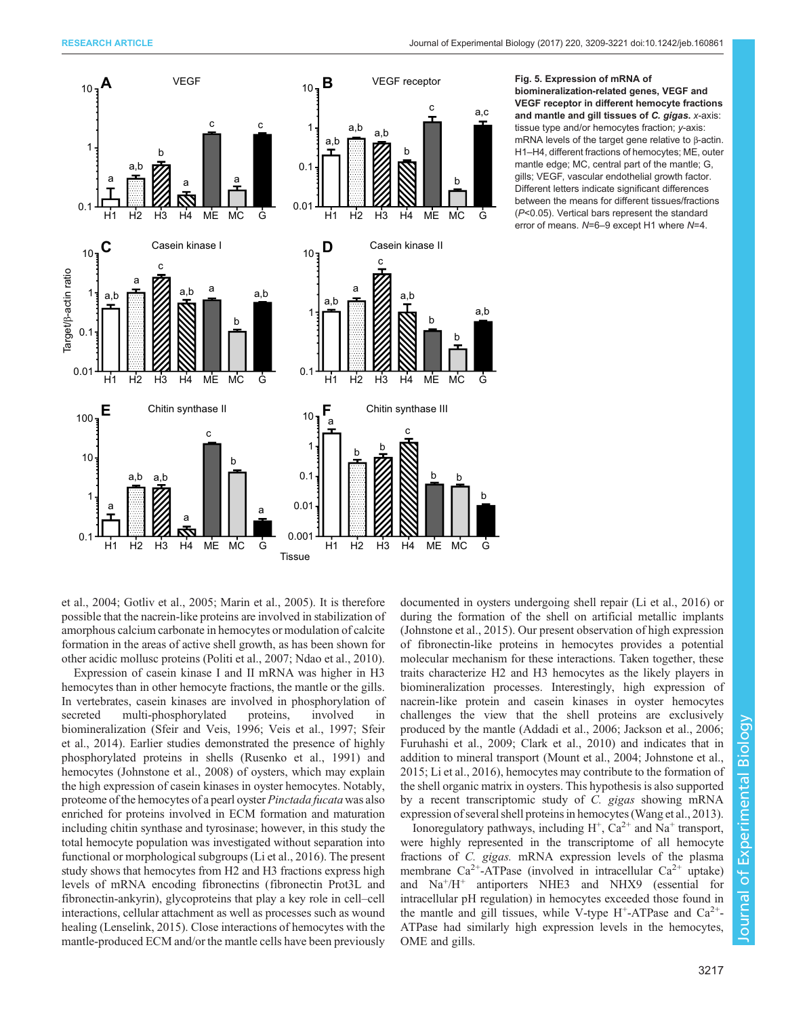<span id="page-8-0"></span>

Fig. 5. Expression of mRNA of biomineralization-related genes, VEGF and VEGF receptor in different hemocyte fractions and mantle and gill tissues of C. gigas. x-axis: tissue type and/or hemocytes fraction; y-axis: mRNA levels of the target gene relative to β-actin. H1–H4, different fractions of hemocytes; ME, outer mantle edge; MC, central part of the mantle; G, gills; VEGF, vascular endothelial growth factor. Different letters indicate significant differences between the means for different tissues/fractions (P<0.05). Vertical bars represent the standard error of means. N=6–9 except H1 where N=4.

[et al., 2004](#page-11-0); [Gotliv et al., 2005](#page-11-0); [Marin et al., 2005\)](#page-11-0). It is therefore possible that the nacrein-like proteins are involved in stabilization of amorphous calcium carbonate in hemocytes or modulation of calcite formation in the areas of active shell growth, as has been shown for other acidic mollusc proteins [\(Politi et al., 2007](#page-11-0); [Ndao et al., 2010\)](#page-11-0).

Expression of casein kinase I and II mRNA was higher in H3 hemocytes than in other hemocyte fractions, the mantle or the gills. In vertebrates, casein kinases are involved in phosphorylation of secreted multi-phosphorylated proteins, involved in biomineralization ([Sfeir and Veis, 1996; Veis et al., 1997](#page-11-0); [Sfeir](#page-11-0) [et al., 2014](#page-11-0)). Earlier studies demonstrated the presence of highly phosphorylated proteins in shells [\(Rusenko et al., 1991\)](#page-11-0) and hemocytes [\(Johnstone et al., 2008\)](#page-11-0) of oysters, which may explain the high expression of casein kinases in oyster hemocytes. Notably, proteome of the hemocytes of a pearl oyster *Pinctada fucata* was also enriched for proteins involved in ECM formation and maturation including chitin synthase and tyrosinase; however, in this study the total hemocyte population was investigated without separation into functional or morphological subgroups [\(Li et al., 2016](#page-11-0)). The present study shows that hemocytes from H2 and H3 fractions express high levels of mRNA encoding fibronectins (fibronectin Prot3L and fibronectin-ankyrin), glycoproteins that play a key role in cell–cell interactions, cellular attachment as well as processes such as wound healing ([Lenselink, 2015](#page-11-0)). Close interactions of hemocytes with the mantle-produced ECM and/or the mantle cells have been previously

documented in oysters undergoing shell repair [\(Li et al., 2016](#page-11-0)) or during the formation of the shell on artificial metallic implants [\(Johnstone et al., 2015](#page-11-0)). Our present observation of high expression of fibronectin-like proteins in hemocytes provides a potential molecular mechanism for these interactions. Taken together, these traits characterize H2 and H3 hemocytes as the likely players in biomineralization processes. Interestingly, high expression of nacrein-like protein and casein kinases in oyster hemocytes challenges the view that the shell proteins are exclusively produced by the mantle ([Addadi et al., 2006;](#page-10-0) [Jackson et al., 2006](#page-11-0); [Furuhashi et al., 2009](#page-10-0); [Clark et al., 2010](#page-10-0)) and indicates that in addition to mineral transport ([Mount et al., 2004](#page-11-0); [Johnstone et al.,](#page-11-0) [2015; Li et al., 2016\)](#page-11-0), hemocytes may contribute to the formation of the shell organic matrix in oysters. This hypothesis is also supported by a recent transcriptomic study of C. gigas showing mRNA expression of several shell proteins in hemocytes ([Wang et al., 2013\)](#page-11-0).

Ionoregulatory pathways, including  $H^+$ ,  $Ca^{2+}$  and Na<sup>+</sup> transport, were highly represented in the transcriptome of all hemocyte fractions of C. gigas. mRNA expression levels of the plasma membrane  $Ca^{2+}$ -ATPase (involved in intracellular  $Ca^{2+}$  uptake) and  $Na<sup>+</sup>/H<sup>+</sup>$  antiporters NHE3 and NHX9 (essential for intracellular pH regulation) in hemocytes exceeded those found in the mantle and gill tissues, while V-type  $H^+$ -ATPase and Ca<sup>2+</sup>-ATPase had similarly high expression levels in the hemocytes, OME and gills.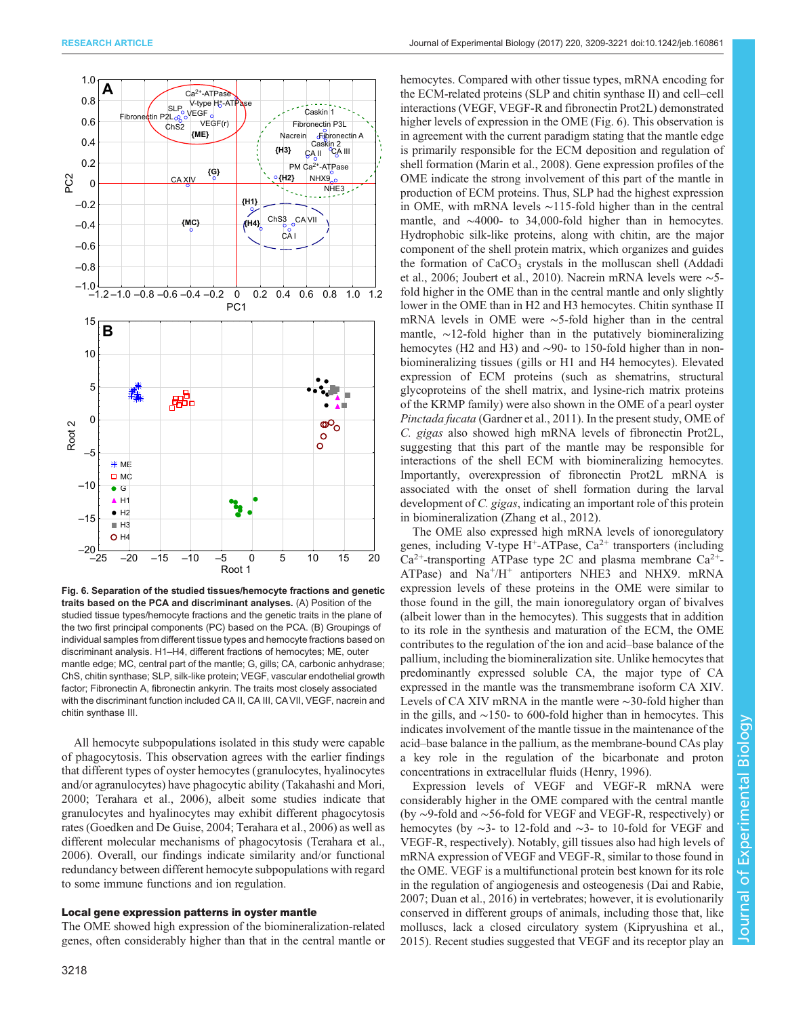<span id="page-9-0"></span>

Fig. 6. Separation of the studied tissues/hemocyte fractions and genetic traits based on the PCA and discriminant analyses. (A) Position of the studied tissue types/hemocyte fractions and the genetic traits in the plane of the two first principal components (PC) based on the PCA. (B) Groupings of individual samples from different tissue types and hemocyte fractions based on discriminant analysis. H1–H4, different fractions of hemocytes; ME, outer mantle edge; MC, central part of the mantle; G, gills; CA, carbonic anhydrase; ChS, chitin synthase; SLP, silk-like protein; VEGF, vascular endothelial growth factor; Fibronectin A, fibronectin ankyrin. The traits most closely associated with the discriminant function included CA II, CA III, CAVII, VEGF, nacrein and chitin synthase III.

All hemocyte subpopulations isolated in this study were capable of phagocytosis. This observation agrees with the earlier findings that different types of oyster hemocytes (granulocytes, hyalinocytes and/or agranulocytes) have phagocytic ability ([Takahashi and Mori,](#page-11-0) [2000](#page-11-0); [Terahara et al., 2006](#page-11-0)), albeit some studies indicate that granulocytes and hyalinocytes may exhibit different phagocytosis rates [\(Goedken and De Guise, 2004; Terahara et al., 2006\)](#page-11-0) as well as different molecular mechanisms of phagocytosis [\(Terahara et al.,](#page-11-0) [2006](#page-11-0)). Overall, our findings indicate similarity and/or functional redundancy between different hemocyte subpopulations with regard to some immune functions and ion regulation.

# Local gene expression patterns in oyster mantle

The OME showed high expression of the biomineralization-related genes, often considerably higher than that in the central mantle or hemocytes. Compared with other tissue types, mRNA encoding for the ECM-related proteins (SLP and chitin synthase II) and cell–cell interactions (VEGF, VEGF-R and fibronectin Prot2L) demonstrated higher levels of expression in the OME (Fig. 6). This observation is in agreement with the current paradigm stating that the mantle edge is primarily responsible for the ECM deposition and regulation of shell formation ([Marin et al., 2008](#page-11-0)). Gene expression profiles of the OME indicate the strong involvement of this part of the mantle in production of ECM proteins. Thus, SLP had the highest expression in OME, with mRNA levels ∼115-fold higher than in the central mantle, and ∼4000- to 34,000-fold higher than in hemocytes. Hydrophobic silk-like proteins, along with chitin, are the major component of the shell protein matrix, which organizes and guides the formation of  $CaCO<sub>3</sub>$  crystals in the molluscan shell [\(Addadi](#page-10-0) [et al., 2006;](#page-10-0) [Joubert et al., 2010\)](#page-11-0). Nacrein mRNA levels were ∼5 fold higher in the OME than in the central mantle and only slightly lower in the OME than in H2 and H3 hemocytes. Chitin synthase II mRNA levels in OME were ∼5-fold higher than in the central mantle, ∼12-fold higher than in the putatively biomineralizing hemocytes (H2 and H3) and ∼90- to 150-fold higher than in nonbiomineralizing tissues (gills or H1 and H4 hemocytes). Elevated expression of ECM proteins (such as shematrins, structural glycoproteins of the shell matrix, and lysine-rich matrix proteins of the KRMP family) were also shown in the OME of a pearl oyster Pinctada fucata [\(Gardner et al., 2011\)](#page-11-0). In the present study, OME of C. gigas also showed high mRNA levels of fibronectin Prot2L, suggesting that this part of the mantle may be responsible for interactions of the shell ECM with biomineralizing hemocytes. Importantly, overexpression of fibronectin Prot2L mRNA is associated with the onset of shell formation during the larval development of C. gigas, indicating an important role of this protein in biomineralization ([Zhang et al., 2012](#page-12-0)).

The OME also expressed high mRNA levels of ionoregulatory genes, including V-type H<sup>+</sup>-ATPase,  $Ca^{2+}$  transporters (including  $Ca^{2+}$ -transporting ATPase type 2C and plasma membrane  $Ca^{2+}$ -ATPase) and  $Na^+/H^+$  antiporters NHE3 and NHX9. mRNA expression levels of these proteins in the OME were similar to those found in the gill, the main ionoregulatory organ of bivalves (albeit lower than in the hemocytes). This suggests that in addition to its role in the synthesis and maturation of the ECM, the OME contributes to the regulation of the ion and acid–base balance of the pallium, including the biomineralization site. Unlike hemocytes that predominantly expressed soluble CA, the major type of CA expressed in the mantle was the transmembrane isoform CA XIV. Levels of CA XIV mRNA in the mantle were ∼30-fold higher than in the gills, and ∼150- to 600-fold higher than in hemocytes. This indicates involvement of the mantle tissue in the maintenance of the acid–base balance in the pallium, as the membrane-bound CAs play a key role in the regulation of the bicarbonate and proton concentrations in extracellular fluids [\(Henry, 1996\)](#page-11-0).

Expression levels of VEGF and VEGF-R mRNA were considerably higher in the OME compared with the central mantle (by ∼9-fold and ∼56-fold for VEGF and VEGF-R, respectively) or hemocytes (by ∼3- to 12-fold and ∼3- to 10-fold for VEGF and VEGF-R, respectively). Notably, gill tissues also had high levels of mRNA expression of VEGF and VEGF-R, similar to those found in the OME. VEGF is a multifunctional protein best known for its role in the regulation of angiogenesis and osteogenesis [\(Dai and Rabie,](#page-10-0) [2007; Duan et al., 2016\)](#page-10-0) in vertebrates; however, it is evolutionarily conserved in different groups of animals, including those that, like molluscs, lack a closed circulatory system [\(Kipryushina et al.,](#page-11-0) [2015\)](#page-11-0). Recent studies suggested that VEGF and its receptor play an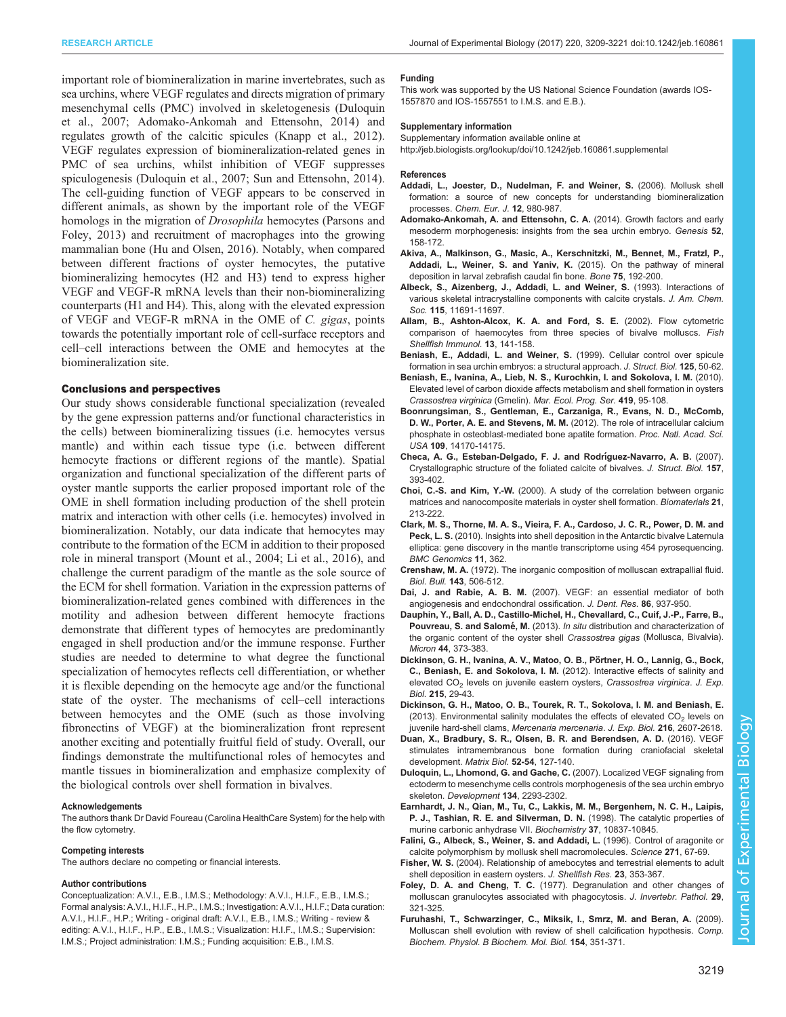<span id="page-10-0"></span>important role of biomineralization in marine invertebrates, such as sea urchins, where VEGF regulates and directs migration of primary mesenchymal cells (PMC) involved in skeletogenesis (Duloquin et al., 2007; Adomako-Ankomah and Ettensohn, 2014) and regulates growth of the calcitic spicules [\(Knapp et al., 2012\)](#page-11-0). VEGF regulates expression of biomineralization-related genes in PMC of sea urchins, whilst inhibition of VEGF suppresses spiculogenesis (Duloquin et al., 2007; [Sun and Ettensohn, 2014\)](#page-11-0). The cell-guiding function of VEGF appears to be conserved in different animals, as shown by the important role of the VEGF homologs in the migration of Drosophila hemocytes [\(Parsons and](#page-11-0) [Foley, 2013\)](#page-11-0) and recruitment of macrophages into the growing mammalian bone [\(Hu and Olsen, 2016](#page-11-0)). Notably, when compared between different fractions of oyster hemocytes, the putative biomineralizing hemocytes (H2 and H3) tend to express higher VEGF and VEGF-R mRNA levels than their non-biomineralizing counterparts (H1 and H4). This, along with the elevated expression of VEGF and VEGF-R mRNA in the OME of C. gigas, points towards the potentially important role of cell-surface receptors and cell–cell interactions between the OME and hemocytes at the biomineralization site.

## Conclusions and perspectives

Our study shows considerable functional specialization (revealed by the gene expression patterns and/or functional characteristics in the cells) between biomineralizing tissues (i.e. hemocytes versus mantle) and within each tissue type (i.e. between different hemocyte fractions or different regions of the mantle). Spatial organization and functional specialization of the different parts of oyster mantle supports the earlier proposed important role of the OME in shell formation including production of the shell protein matrix and interaction with other cells (i.e. hemocytes) involved in biomineralization. Notably, our data indicate that hemocytes may contribute to the formation of the ECM in addition to their proposed role in mineral transport ([Mount et al., 2004; Li et al., 2016\)](#page-11-0), and challenge the current paradigm of the mantle as the sole source of the ECM for shell formation. Variation in the expression patterns of biomineralization-related genes combined with differences in the motility and adhesion between different hemocyte fractions demonstrate that different types of hemocytes are predominantly engaged in shell production and/or the immune response. Further studies are needed to determine to what degree the functional specialization of hemocytes reflects cell differentiation, or whether it is flexible depending on the hemocyte age and/or the functional state of the oyster. The mechanisms of cell–cell interactions between hemocytes and the OME (such as those involving fibronectins of VEGF) at the biomineralization front represent another exciting and potentially fruitful field of study. Overall, our findings demonstrate the multifunctional roles of hemocytes and mantle tissues in biomineralization and emphasize complexity of the biological controls over shell formation in bivalves.

#### Acknowledgements

The authors thank Dr David Foureau (Carolina HealthCare System) for the help with the flow cytometry.

#### Competing interests

The authors declare no competing or financial interests.

#### Author contributions

Conceptualization: A.V.I., E.B., I.M.S.; Methodology: A.V.I., H.I.F., E.B., I.M.S.; Formal analysis: A.V.I., H.I.F., H.P., I.M.S.; Investigation: A.V.I., H.I.F.; Data curation: A.V.I., H.I.F., H.P.; Writing - original draft: A.V.I., E.B., I.M.S.; Writing - review & editing: A.V.I., H.I.F., H.P., E.B., I.M.S.; Visualization: H.I.F., I.M.S.; Supervision: I.M.S.; Project administration: I.M.S.; Funding acquisition: E.B., I.M.S.

#### Funding

This work was supported by the US National Science Foundation (awards IOS-1557870 and IOS-1557551 to I.M.S. and E.B.).

## Supplementary information

Supplementary information available online at <http://jeb.biologists.org/lookup/doi/10.1242/jeb.160861.supplemental>

#### **References**

- [Addadi, L., Joester, D., Nudelman, F. and Weiner, S.](http://dx.doi.org/10.1002/chem.200500980) (2006). Mollusk shell [formation: a source of new concepts for understanding biomineralization](http://dx.doi.org/10.1002/chem.200500980) processes. [Chem. Eur. J.](http://dx.doi.org/10.1002/chem.200500980) 12, 980-987.
- [Adomako-Ankomah, A. and Ettensohn, C. A.](http://dx.doi.org/10.1002/dvg.22746) (2014). Growth factors and early [mesoderm morphogenesis: insights from the sea urchin embryo.](http://dx.doi.org/10.1002/dvg.22746) Genesis 52, [158-172.](http://dx.doi.org/10.1002/dvg.22746)
- [Akiva, A., Malkinson, G., Masic, A., Kerschnitzki, M., Bennet, M., Fratzl, P.,](http://dx.doi.org/10.1016/j.bone.2015.02.020) [Addadi, L., Weiner, S. and Yaniv, K.](http://dx.doi.org/10.1016/j.bone.2015.02.020) (2015). On the pathway of mineral [deposition in larval zebrafish caudal fin bone.](http://dx.doi.org/10.1016/j.bone.2015.02.020) Bone 75, 192-200.
- [Albeck, S., Aizenberg, J., Addadi, L. and Weiner, S.](http://dx.doi.org/10.1021/ja00078a005) (1993). Interactions of [various skeletal intracrystalline components with calcite crystals.](http://dx.doi.org/10.1021/ja00078a005) J. Am. Chem. Soc. 115[, 11691-11697.](http://dx.doi.org/10.1021/ja00078a005)
- [Allam, B., Ashton-Alcox, K. A. and Ford, S. E.](http://dx.doi.org/10.1006/fsim.2001.0389) (2002). Flow cytometric [comparison of haemocytes from three species of bivalve molluscs.](http://dx.doi.org/10.1006/fsim.2001.0389) Fish [Shellfish Immunol.](http://dx.doi.org/10.1006/fsim.2001.0389) 13, 141-158.
- [Beniash, E., Addadi, L. and Weiner, S.](http://dx.doi.org/10.1006/jsbi.1998.4081) (1999). Cellular control over spicule [formation in sea urchin embryos: a structural approach.](http://dx.doi.org/10.1006/jsbi.1998.4081) J. Struct. Biol. 125, 50-62.
- [Beniash, E., Ivanina, A., Lieb, N. S., Kurochkin, I. and Sokolova, I. M.](http://dx.doi.org/10.3354/meps08841) (2010). [Elevated level of carbon dioxide affects metabolism and shell formation in oysters](http://dx.doi.org/10.3354/meps08841) [Crassostrea virginica](http://dx.doi.org/10.3354/meps08841) (Gmelin). Mar. Ecol. Prog. Ser. 419, 95-108.
- [Boonrungsiman, S., Gentleman, E., Carzaniga, R., Evans, N. D., McComb,](http://dx.doi.org/10.1073/pnas.1208916109) [D. W., Porter, A. E. and Stevens, M. M.](http://dx.doi.org/10.1073/pnas.1208916109) (2012). The role of intracellular calcium [phosphate in osteoblast-mediated bone apatite formation.](http://dx.doi.org/10.1073/pnas.1208916109) Proc. Natl. Acad. Sci. USA 109[, 14170-14175.](http://dx.doi.org/10.1073/pnas.1208916109)
- [Checa, A. G., Esteban-Delgado, F. J. and Rodr](http://dx.doi.org/10.1016/j.jsb.2006.09.005)íguez-Navarro, A. B. (2007). [Crystallographic structure of the foliated calcite of bivalves.](http://dx.doi.org/10.1016/j.jsb.2006.09.005) J. Struct. Biol. 157, [393-402.](http://dx.doi.org/10.1016/j.jsb.2006.09.005)
- Choi, C.-S. and Kim, Y.-W. [\(2000\). A study of the correlation between organic](http://dx.doi.org/10.1016/S0142-9612(99)00120-9) [matrices and nanocomposite materials in oyster shell formation.](http://dx.doi.org/10.1016/S0142-9612(99)00120-9) Biomaterials 21, [213-222.](http://dx.doi.org/10.1016/S0142-9612(99)00120-9)
- [Clark, M. S., Thorne, M. A. S., Vieira, F. A., Cardoso, J. C. R., Power, D. M. and](http://dx.doi.org/10.1186/1471-2164-11-362) Peck, L. S. [\(2010\). Insights into shell deposition in the Antarctic bivalve Laternula](http://dx.doi.org/10.1186/1471-2164-11-362) [elliptica: gene discovery in the mantle transcriptome using 454 pyrosequencing.](http://dx.doi.org/10.1186/1471-2164-11-362) [BMC Genomics](http://dx.doi.org/10.1186/1471-2164-11-362) 11, 362.
- Crenshaw, M. A. [\(1972\). The inorganic composition of molluscan extrapallial fluid.](http://dx.doi.org/10.2307/1540180) Biol. Bull. 143[, 506-512.](http://dx.doi.org/10.2307/1540180)
- Dai, J. and Rabie, A. B. M. [\(2007\). VEGF: an essential mediator of both](http://dx.doi.org/10.1177/154405910708601006) [angiogenesis and endochondral ossification.](http://dx.doi.org/10.1177/154405910708601006) J. Dent. Res. 86, 937-950.
- [Dauphin, Y., Ball, A. D., Castillo-Michel, H., Chevallard, C., Cuif, J.-P., Farre, B.,](http://dx.doi.org/10.1016/j.micron.2012.09.002) Pouvreau, S. and Salomé, M. (2013). In situ [distribution and characterization of](http://dx.doi.org/10.1016/j.micron.2012.09.002) [the organic content of the oyster shell](http://dx.doi.org/10.1016/j.micron.2012.09.002) Crassostrea gigas (Mollusca, Bivalvia). Micron **44**[, 373-383.](http://dx.doi.org/10.1016/j.micron.2012.09.002)
- Dickinson, G. H., Ivanina, A. V., Matoo, O. B., Pörtner, H. O., Lannig, G., Bock, C., Beniash, E. and Sokolova, I. M. [\(2012\). Interactive effects of salinity and](http://dx.doi.org/10.1242/jeb.061481) elevated  $CO<sub>2</sub>$  [levels on juvenile eastern oysters,](http://dx.doi.org/10.1242/jeb.061481) Crassostrea virginica. J. Exp. Biol. 215[, 29-43.](http://dx.doi.org/10.1242/jeb.061481)
- [Dickinson, G. H., Matoo, O. B., Tourek, R. T., Sokolova, I. M. and Beniash, E.](http://dx.doi.org/10.1242/jeb.082909) (2013). Environmental salinity modulates the effects of elevated  $CO<sub>2</sub>$  [levels on](http://dx.doi.org/10.1242/jeb.082909) [juvenile hard-shell clams,](http://dx.doi.org/10.1242/jeb.082909) Mercenaria mercenaria. J. Exp. Biol. 216, 2607-2618.
- [Duan, X., Bradbury, S. R., Olsen, B. R. and Berendsen, A. D.](http://dx.doi.org/10.1016/j.matbio.2016.02.005) (2016). VEGF [stimulates intramembranous bone formation during craniofacial skeletal](http://dx.doi.org/10.1016/j.matbio.2016.02.005) [development.](http://dx.doi.org/10.1016/j.matbio.2016.02.005) Matrix Biol. 52-54, 127-140.
- [Duloquin, L., Lhomond, G. and Gache, C.](http://dx.doi.org/10.1242/dev.005108) (2007). Localized VEGF signaling from [ectoderm to mesenchyme cells controls morphogenesis of the sea urchin embryo](http://dx.doi.org/10.1242/dev.005108) skeleton. [Development](http://dx.doi.org/10.1242/dev.005108) 134, 2293-2302.
- [Earnhardt, J. N., Qian, M., Tu, C., Lakkis, M. M., Bergenhem, N. C. H., Laipis,](http://dx.doi.org/10.1021/bi980046t) [P. J., Tashian, R. E. and Silverman, D. N.](http://dx.doi.org/10.1021/bi980046t) (1998). The catalytic properties of [murine carbonic anhydrase VII.](http://dx.doi.org/10.1021/bi980046t) Biochemistry 37, 10837-10845.
- [Falini, G., Albeck, S., Weiner, S. and Addadi, L.](http://dx.doi.org/10.1126/science.271.5245.67) (1996). Control of aragonite or [calcite polymorphism by mollusk shell macromolecules.](http://dx.doi.org/10.1126/science.271.5245.67) Science 271, 67-69.
- Fisher, W. S. (2004). Relationship of amebocytes and terrestrial elements to adult shell deposition in eastern oysters. J. Shellfish Res. 23, 353-367.
- Foley, D. A. and Cheng, T. C. [\(1977\). Degranulation and other changes of](http://dx.doi.org/10.1016/S0022-2011(77)80037-2) [molluscan granulocytes associated with phagocytosis.](http://dx.doi.org/10.1016/S0022-2011(77)80037-2) J. Invertebr. Pathol. 29, [321-325.](http://dx.doi.org/10.1016/S0022-2011(77)80037-2)
- [Furuhashi, T., Schwarzinger, C., Miksik, I., Smrz, M. and Beran, A.](http://dx.doi.org/10.1016/j.cbpb.2009.07.011) (2009). [Molluscan shell evolution with review of shell calcification hypothesis.](http://dx.doi.org/10.1016/j.cbpb.2009.07.011) Comp. [Biochem. Physiol. B Biochem. Mol. Biol.](http://dx.doi.org/10.1016/j.cbpb.2009.07.011) 154, 351-371.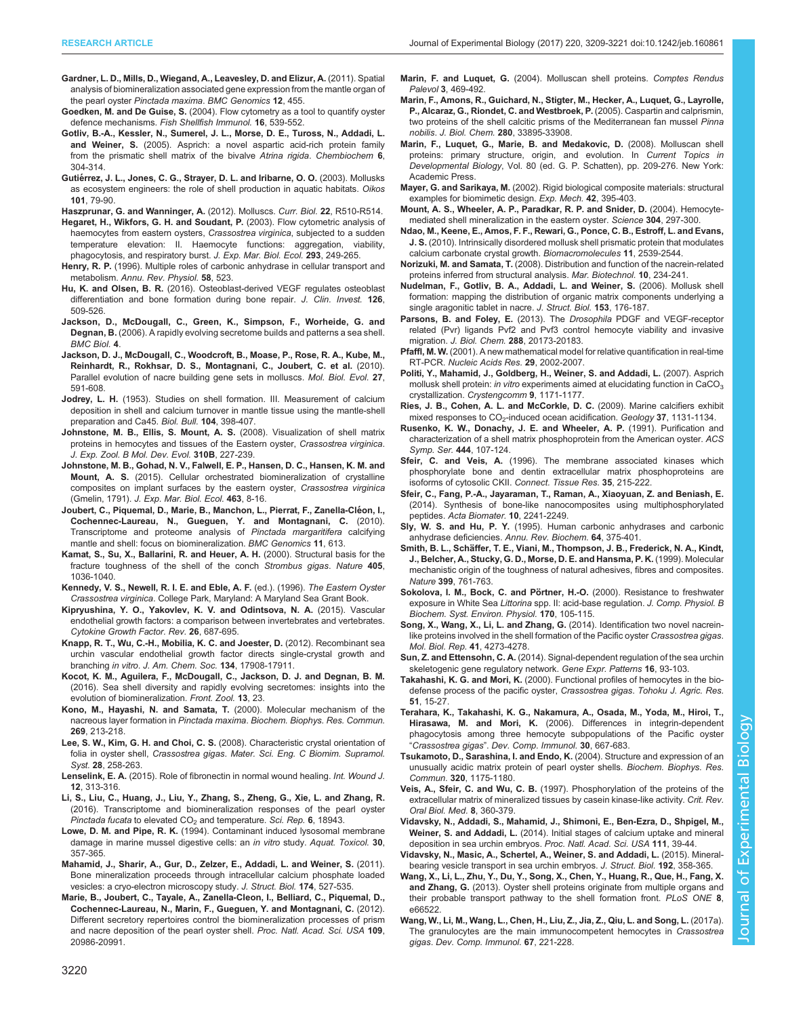- <span id="page-11-0"></span>[Gardner, L. D., Mills, D., Wiegand, A., Leavesley, D. and Elizur, A.](http://dx.doi.org/10.1186/1471-2164-12-455) (2011). Spatial [analysis of biomineralization associated gene expression from the mantle organ of](http://dx.doi.org/10.1186/1471-2164-12-455) the pearl oyster [Pinctada maxima](http://dx.doi.org/10.1186/1471-2164-12-455). BMC Genomics 12, 455.
- Goedken, M. and De Guise, S. [\(2004\). Flow cytometry as a tool to quantify oyster](http://dx.doi.org/10.1016/j.fsi.2003.09.009) defence mechanisms. [Fish Shellfish Immunol.](http://dx.doi.org/10.1016/j.fsi.2003.09.009) 16, 539-552.
- [Gotliv, B.-A., Kessler, N., Sumerel, J. L., Morse, D. E., Tuross, N., Addadi, L.](http://dx.doi.org/10.1002/cbic.200400221) and Weiner, S. [\(2005\). Asprich: a novel aspartic acid-rich protein family](http://dx.doi.org/10.1002/cbic.200400221) [from the prismatic shell matrix of the bivalve](http://dx.doi.org/10.1002/cbic.200400221) Atrina rigida. Chembiochem 6, [304-314.](http://dx.doi.org/10.1002/cbic.200400221)
- Gutié[rrez, J. L., Jones, C. G., Strayer, D. L. and Iribarne, O. O.](http://dx.doi.org/10.1034/j.1600-0706.2003.12322.x) (2003). Mollusks [as ecosystem engineers: the role of shell production in aquatic habitats.](http://dx.doi.org/10.1034/j.1600-0706.2003.12322.x) Oikos 101[, 79-90.](http://dx.doi.org/10.1034/j.1600-0706.2003.12322.x)

[Haszprunar, G. and Wanninger, A.](http://dx.doi.org/10.1016/j.cub.2012.05.039) (2012). Molluscs. Curr. Biol. 22, R510-R514.

- [Hegaret, H., Wikfors, G. H. and Soudant, P.](http://dx.doi.org/10.1016/S0022-0981(03)00235-1) (2003). Flow cytometric analysis of [haemocytes from eastern oysters,](http://dx.doi.org/10.1016/S0022-0981(03)00235-1) Crassostrea virginica, subjected to a sudden [temperature elevation: II. Haemocyte functions: aggregation, viability,](http://dx.doi.org/10.1016/S0022-0981(03)00235-1) [phagocytosis, and respiratory burst.](http://dx.doi.org/10.1016/S0022-0981(03)00235-1) J. Exp. Mar. Biol. Ecol. 293, 249-265.
- Henry, R. P. [\(1996\). Multiple roles of carbonic anhydrase in cellular transport and](http://dx.doi.org/10.1146/annurev.ph.58.030196.002515) metabolism. [Annu. Rev. Physiol.](http://dx.doi.org/10.1146/annurev.ph.58.030196.002515) 58, 523.
- Hu, K. and Olsen, B. R. [\(2016\). Osteoblast-derived VEGF regulates osteoblast](http://dx.doi.org/10.1172/JCI82585) [differentiation and bone formation during bone repair.](http://dx.doi.org/10.1172/JCI82585) J. Clin. Invest. 126, [509-526.](http://dx.doi.org/10.1172/JCI82585)
- [Jackson, D., McDougall, C., Green, K., Simpson, F., Worheide, G. and](http://dx.doi.org/10.1186/1741-7007-4-40) Degnan, B. [\(2006\). A rapidly evolving secretome builds and patterns a sea shell.](http://dx.doi.org/10.1186/1741-7007-4-40) [BMC Biol.](http://dx.doi.org/10.1186/1741-7007-4-40) 4.
- [Jackson, D. J., McDougall, C., Woodcroft, B., Moase, P., Rose, R. A., Kube, M.,](http://dx.doi.org/10.1093/molbev/msp278) [Reinhardt, R., Rokhsar, D. S., Montagnani, C., Joubert, C. et al.](http://dx.doi.org/10.1093/molbev/msp278) (2010). [Parallel evolution of nacre building gene sets in molluscs.](http://dx.doi.org/10.1093/molbev/msp278) Mol. Biol. Evol. 27, [591-608.](http://dx.doi.org/10.1093/molbev/msp278)
- Jodrey, L. H. [\(1953\). Studies on shell formation. III. Measurement of calcium](http://dx.doi.org/10.2307/1538493) [deposition in shell and calcium turnover in mantle tissue using the mantle-shell](http://dx.doi.org/10.2307/1538493) [preparation and Ca45.](http://dx.doi.org/10.2307/1538493) Biol. Bull. 104, 398-407.
- [Johnstone, M. B., Ellis, S. Mount, A. S.](http://dx.doi.org/10.1002/jez.b.21206) (2008). Visualization of shell matrix [proteins in hemocytes and tissues of the Eastern oyster,](http://dx.doi.org/10.1002/jez.b.21206) Crassostrea virginica. [J. Exp. Zool. B Mol. Dev. Evol.](http://dx.doi.org/10.1002/jez.b.21206) 310B, 227-239.
- [Johnstone, M. B., Gohad, N. V., Falwell, E. P., Hansen, D. C., Hansen, K. M. and](http://dx.doi.org/10.1016/j.jembe.2014.10.014) Mount, A. S. [\(2015\). Cellular orchestrated biomineralization of crystalline](http://dx.doi.org/10.1016/j.jembe.2014.10.014) [composites on implant surfaces by the eastern oyster,](http://dx.doi.org/10.1016/j.jembe.2014.10.014) Crassostrea virginica (Gmelin, 1791). [J. Exp. Mar. Biol. Ecol.](http://dx.doi.org/10.1016/j.jembe.2014.10.014) 463, 8-16.
- Joubert, C., Piquemal, D., Marie, B., Manchon, L., Pierrat, F., Zanella-Cléon, I., [Cochennec-Laureau, N., Gueguen, Y. and Montagnani, C.](http://dx.doi.org/10.1186/1471-2164-11-613) (2010). [Transcriptome and proteome analysis of](http://dx.doi.org/10.1186/1471-2164-11-613) Pinctada margaritifera calcifying [mantle and shell: focus on biomineralization.](http://dx.doi.org/10.1186/1471-2164-11-613) BMC Genomics 11, 613.
- [Kamat, S., Su, X., Ballarini, R. and Heuer, A. H.](http://dx.doi.org/10.1038/35016535) (2000). Structural basis for the [fracture toughness of the shell of the conch](http://dx.doi.org/10.1038/35016535) Strombus gigas. Nature 405, [1036-1040.](http://dx.doi.org/10.1038/35016535)
- Kennedy, V. S., Newell, R. I. E. and Eble, A. F. (ed.). (1996). The Eastern Oyster Crassostrea virginica. College Park, Maryland: A Maryland Sea Grant Book.
- [Kipryushina, Y. O., Yakovlev, K. V. and Odintsova, N. A.](http://dx.doi.org/10.1016/j.cytogfr.2015.04.001) (2015). Vascular [endothelial growth factors: a comparison between invertebrates and vertebrates.](http://dx.doi.org/10.1016/j.cytogfr.2015.04.001) [Cytokine Growth Factor. Rev.](http://dx.doi.org/10.1016/j.cytogfr.2015.04.001) 26, 687-695.
- [Knapp, R. T., Wu, C.-H., Mobilia, K. C. and Joester, D.](http://dx.doi.org/10.1021/ja309024b) (2012). Recombinant sea [urchin vascular endothelial growth factor directs single-crystal growth and](http://dx.doi.org/10.1021/ja309024b) branching in vitro. [J. Am. Chem. Soc.](http://dx.doi.org/10.1021/ja309024b) 134, 17908-17911.
- [Kocot, K. M., Aguilera, F., McDougall, C., Jackson, D. J. and Degnan, B. M.](http://dx.doi.org/10.1186/s12983-016-0155-z) [\(2016\). Sea shell diversity and rapidly evolving secretomes: insights into the](http://dx.doi.org/10.1186/s12983-016-0155-z) [evolution of biomineralization.](http://dx.doi.org/10.1186/s12983-016-0155-z) Front. Zool. 13, 23.
- [Kono, M., Hayashi, N. and Samata, T.](http://dx.doi.org/10.1006/bbrc.2000.2274) (2000). Molecular mechanism of the nacreous layer formation in Pinctada maxima. [Biochem. Biophys. Res. Commun.](http://dx.doi.org/10.1006/bbrc.2000.2274) 269[, 213-218.](http://dx.doi.org/10.1006/bbrc.2000.2274)
- Lee, S. W., Kim, G. H. and Choi, C. S. [\(2008\). Characteristic crystal orientation of](http://dx.doi.org/10.1016/j.msec.2007.01.001) folia in oyster shell, Crassostrea gigas. [Mater. Sci. Eng. C Biomim. Supramol.](http://dx.doi.org/10.1016/j.msec.2007.01.001) Syst. 28[, 258-263.](http://dx.doi.org/10.1016/j.msec.2007.01.001)
- Lenselink, E. A. [\(2015\). Role of fibronectin in normal wound healing.](http://dx.doi.org/10.1111/iwj.12109) Int. Wound J. 12[, 313-316.](http://dx.doi.org/10.1111/iwj.12109)
- [Li, S., Liu, C., Huang, J., Liu, Y., Zhang, S., Zheng, G., Xie, L. and Zhang, R.](http://dx.doi.org/10.1038/srep18943) [\(2016\). Transcriptome and biomineralization responses of the pearl oyster](http://dx.doi.org/10.1038/srep18943) Pinctada fucata to elevated  $CO<sub>2</sub>$  [and temperature.](http://dx.doi.org/10.1038/srep18943) Sci. Rep. 6, 18943.
- Lowe, D. M. and Pipe, R. K. [\(1994\). Contaminant induced lysosomal membrane](http://dx.doi.org/10.1016/0166-445X(94)00045-X) [damage in marine mussel digestive cells: an](http://dx.doi.org/10.1016/0166-445X(94)00045-X) in vitro study. Aquat. Toxicol. 30, [357-365.](http://dx.doi.org/10.1016/0166-445X(94)00045-X)
- [Mahamid, J., Sharir, A., Gur, D., Zelzer, E., Addadi, L. and Weiner, S.](http://dx.doi.org/10.1016/j.jsb.2011.03.014) (2011). [Bone mineralization proceeds through intracellular calcium phosphate loaded](http://dx.doi.org/10.1016/j.jsb.2011.03.014) [vesicles: a cryo-electron microscopy study.](http://dx.doi.org/10.1016/j.jsb.2011.03.014) J. Struct. Biol. 174, 527-535.
- [Marie, B., Joubert, C., Tayale, A., Zanella-Cleon, I., Belliard, C., Piquemal, D.,](http://dx.doi.org/10.1073/pnas.1210552109) [Cochennec-Laureau, N., Marin, F., Gueguen, Y. and Montagnani, C.](http://dx.doi.org/10.1073/pnas.1210552109) (2012). [Different secretory repertoires control the biomineralization processes of prism](http://dx.doi.org/10.1073/pnas.1210552109) [and nacre deposition of the pearl oyster shell.](http://dx.doi.org/10.1073/pnas.1210552109) Proc. Natl. Acad. Sci. USA 109, [20986-20991.](http://dx.doi.org/10.1073/pnas.1210552109)

Marin, F. and Luquet, G. [\(2004\). Molluscan shell proteins.](http://dx.doi.org/10.1016/j.crpv.2004.07.009) Comptes Rendus Palevol 3[, 469-492.](http://dx.doi.org/10.1016/j.crpv.2004.07.009)

- [Marin, F., Amons, R., Guichard, N., Stigter, M., Hecker, A., Luquet, G., Layrolle,](http://dx.doi.org/10.1074/jbc.M506526200) [P., Alcaraz, G., Riondet, C. and Westbroek, P.](http://dx.doi.org/10.1074/jbc.M506526200) (2005). Caspartin and calprismin, [two proteins of the shell calcitic prisms of the Mediterranean fan mussel](http://dx.doi.org/10.1074/jbc.M506526200) Pinna nobilis. J. Biol. Chem. 280[, 33895-33908.](http://dx.doi.org/10.1074/jbc.M506526200)
- Marin, F., Luquet, G., Marie, B. and Medakovic, D. (2008). Molluscan shell proteins: primary structure, origin, and evolution. In Current Topics in Developmental Biology, Vol. 80 (ed. G. P. Schatten), pp. 209-276. New York: Academic Press.
- Mayer, G. and Sarikaya, M. [\(2002\). Rigid biological composite materials: structural](http://dx.doi.org/10.1007/BF02412144) [examples for biomimetic design.](http://dx.doi.org/10.1007/BF02412144) Exp. Mech. 42, 395-403.
- [Mount, A. S., Wheeler, A. P., Paradkar, R. P. and Snider, D.](http://dx.doi.org/10.1126/science.1090506) (2004). Hemocyte[mediated shell mineralization in the eastern oyster.](http://dx.doi.org/10.1126/science.1090506) Science 304, 297-300.
- [Ndao, M., Keene, E., Amos, F. F., Rewari, G., Ponce, C. B., Estroff, L. and Evans,](http://dx.doi.org/10.1021/bm100738r) J. S. [\(2010\). Intrinsically disordered mollusk shell prismatic protein that modulates](http://dx.doi.org/10.1021/bm100738r) [calcium carbonate crystal growth.](http://dx.doi.org/10.1021/bm100738r) Biomacromolecules 11, 2539-2544.
- Norizuki, M. and Samata, T. [\(2008\). Distribution and function of the nacrein-related](http://dx.doi.org/10.1007/s10126-007-9061-x) [proteins inferred from structural analysis.](http://dx.doi.org/10.1007/s10126-007-9061-x) Mar. Biotechnol. 10, 234-241.
- [Nudelman, F., Gotliv, B. A., Addadi, L. and Weiner, S.](http://dx.doi.org/10.1016/j.jsb.2005.09.009) (2006). Mollusk shell [formation: mapping the distribution of organic matrix components underlying a](http://dx.doi.org/10.1016/j.jsb.2005.09.009) [single aragonitic tablet in nacre.](http://dx.doi.org/10.1016/j.jsb.2005.09.009) J. Struct. Biol. 153, 176-187.
- [Parsons, B. and Foley, E.](http://dx.doi.org/10.1074/jbc.M113.483818) (2013). The Drosophila PDGF and VEGF-receptor [related \(Pvr\) ligands Pvf2 and Pvf3 control hemocyte viability and invasive](http://dx.doi.org/10.1074/jbc.M113.483818) migration. J. Biol. Chem. 288[, 20173-20183.](http://dx.doi.org/10.1074/jbc.M113.483818)
- Pfaffl, M. W. [\(2001\). A new mathematical model for relative quantification in real-time](http://dx.doi.org/10.1093/nar/29.9.e45) RT-PCR. [Nucleic Acids Res.](http://dx.doi.org/10.1093/nar/29.9.e45) 29, 2002-2007.
- [Politi, Y., Mahamid, J., Goldberg, H., Weiner, S. and Addadi, L.](http://dx.doi.org/10.1039/b709749b) (2007). Asprich mollusk shell protein: in vitro experiments aimed at elucidating function in  $CaCO<sub>3</sub>$ crystallization. [Crystengcomm](http://dx.doi.org/10.1039/b709749b) 9, 1171-1177.
- [Ries, J. B., Cohen, A. L. and McCorkle, D. C.](http://dx.doi.org/10.1130/G30210A.1) (2009). Marine calcifiers exhibit mixed responses to  $CO_2$ -induced ocean acidification. Geology 37, 1131-1134.
- [Rusenko, K. W., Donachy, J. E. and Wheeler, A. P.](http://dx.doi.org/10.1021/bk-1991-0444.ch008) (1991). Purification and [characterization of a shell matrix phosphoprotein from the American oyster.](http://dx.doi.org/10.1021/bk-1991-0444.ch008) ACS [Symp. Ser.](http://dx.doi.org/10.1021/bk-1991-0444.ch008) 444, 107-124.
- Sfeir, C. and Veis, A. [\(1996\). The membrane associated kinases which](http://dx.doi.org/10.3109/03008209609029194) [phosphorylate bone and dentin extracellular matrix phosphoproteins are](http://dx.doi.org/10.3109/03008209609029194) [isoforms of cytosolic CKII.](http://dx.doi.org/10.3109/03008209609029194) Connect. Tissue Res. 35, 215-222.
- [Sfeir, C., Fang, P.-A., Jayaraman, T., Raman, A., Xiaoyuan, Z. and Beniash, E.](http://dx.doi.org/10.1016/j.actbio.2014.01.007) [\(2014\). Synthesis of bone-like nanocomposites using multiphosphorylated](http://dx.doi.org/10.1016/j.actbio.2014.01.007) peptides. [Acta Biomater.](http://dx.doi.org/10.1016/j.actbio.2014.01.007) 10, 2241-2249.
- Sly, W. S. and Hu, P. Y. [\(1995\). Human carbonic anhydrases and carbonic](http://dx.doi.org/10.1146/annurev.bi.64.070195.002111) [anhydrase deficiencies.](http://dx.doi.org/10.1146/annurev.bi.64.070195.002111) Annu. Rev. Biochem. 64, 375-401.
- Smith, B. L., Schä[ffer, T. E., Viani, M., Thompson, J. B., Frederick, N. A., Kindt,](http://dx.doi.org/10.1038/21607) [J., Belcher, A., Stucky, G. D., Morse, D. E. and Hansma, P. K.](http://dx.doi.org/10.1038/21607) (1999). Molecular [mechanistic origin of the toughness of natural adhesives, fibres and composites.](http://dx.doi.org/10.1038/21607) Nature 399[, 761-763.](http://dx.doi.org/10.1038/21607)
- Sokolova, I. M., Bock, C. and Pörtner, H.-O. (2000). Resistance to freshwater exposure in White Sea Littorina [spp. II: acid-base regulation.](http://dx.doi.org/10.1007/s003600050265) J. Comp. Physiol. B [Biochem. Syst. Environ. Physiol.](http://dx.doi.org/10.1007/s003600050265) 170, 105-115.
- [Song, X., Wang, X., Li, L. and Zhang, G.](http://dx.doi.org/10.1007/s11033-014-3298-z) (2014). Identification two novel nacrein[like proteins involved in the shell formation of the Pacific oyster](http://dx.doi.org/10.1007/s11033-014-3298-z) Crassostrea gigas. [Mol. Biol. Rep.](http://dx.doi.org/10.1007/s11033-014-3298-z) 41, 4273-4278.
- Sun, Z. and Ettensohn, C. A. [\(2014\). Signal-dependent regulation of the sea urchin](http://dx.doi.org/10.1016/j.gep.2014.10.002) [skeletogenic gene regulatory network.](http://dx.doi.org/10.1016/j.gep.2014.10.002) Gene Expr. Patterns 16, 93-103.
- Takahashi, K. G. and Mori, K. (2000). Functional profiles of hemocytes in the biodefense process of the pacific oyster, Crassostrea gigas. Tohoku J. Agric. Res. 51, 15-27.
- [Terahara, K., Takahashi, K. G., Nakamura, A., Osada, M., Yoda, M., Hiroi, T.,](http://dx.doi.org/10.1016/j.dci.2005.09.009) Hirasawa, M. and Mori, K. [\(2006\). Differences in integrin-dependent](http://dx.doi.org/10.1016/j.dci.2005.09.009) [phagocytosis among three hemocyte subpopulations of the Pacific oyster](http://dx.doi.org/10.1016/j.dci.2005.09.009) "Crassostrea gigas". [Dev. Comp. Immunol.](http://dx.doi.org/10.1016/j.dci.2005.09.009) 30, 667-683.
- [Tsukamoto, D., Sarashina, I. and Endo, K.](http://dx.doi.org/10.1016/j.bbrc.2004.06.072) (2004). Structure and expression of an [unusually acidic matrix protein of pearl oyster shells.](http://dx.doi.org/10.1016/j.bbrc.2004.06.072) Biochem. Biophys. Res. Commun. 320[, 1175-1180.](http://dx.doi.org/10.1016/j.bbrc.2004.06.072)
- Veis, A., Sfeir, C. and Wu, C. B. [\(1997\). Phosphorylation of the proteins of the](http://dx.doi.org/10.1177/10454411970080040101) [extracellular matrix of mineralized tissues by casein kinase-like activity.](http://dx.doi.org/10.1177/10454411970080040101) Crit. Rev. [Oral Biol. Med.](http://dx.doi.org/10.1177/10454411970080040101) 8, 360-379.
- [Vidavsky, N., Addadi, S., Mahamid, J., Shimoni, E., Ben-Ezra, D., Shpigel, M.,](http://dx.doi.org/10.1073/pnas.1312833110) Weiner, S. and Addadi, L. [\(2014\). Initial stages of calcium uptake and mineral](http://dx.doi.org/10.1073/pnas.1312833110) [deposition in sea urchin embryos.](http://dx.doi.org/10.1073/pnas.1312833110) Proc. Natl. Acad. Sci. USA 111, 39-44.
- [Vidavsky, N., Masic, A., Schertel, A., Weiner, S. and Addadi, L.](http://dx.doi.org/10.1016/j.jsb.2015.09.017) (2015). Mineral[bearing vesicle transport in sea urchin embryos.](http://dx.doi.org/10.1016/j.jsb.2015.09.017) J. Struct. Biol. 192, 358-365.
- [Wang, X., Li, L., Zhu, Y., Du, Y., Song, X., Chen, Y., Huang, R., Que, H., Fang, X.](http://dx.doi.org/10.1371/journal.pone.0066522) and Zhang, G. [\(2013\). Oyster shell proteins originate from multiple organs and](http://dx.doi.org/10.1371/journal.pone.0066522) [their probable transport pathway to the shell formation front.](http://dx.doi.org/10.1371/journal.pone.0066522) PLoS ONE 8, [e66522.](http://dx.doi.org/10.1371/journal.pone.0066522)
- [Wang, W., Li, M., Wang, L., Chen, H., Liu, Z., Jia, Z., Qiu, L. and Song, L.](http://dx.doi.org/10.1016/j.dci.2016.09.017) (2017a). [The granulocytes are the main immunocompetent hemocytes in](http://dx.doi.org/10.1016/j.dci.2016.09.017) Crassostrea gigas. [Dev. Comp. Immunol.](http://dx.doi.org/10.1016/j.dci.2016.09.017) 67, 221-228.